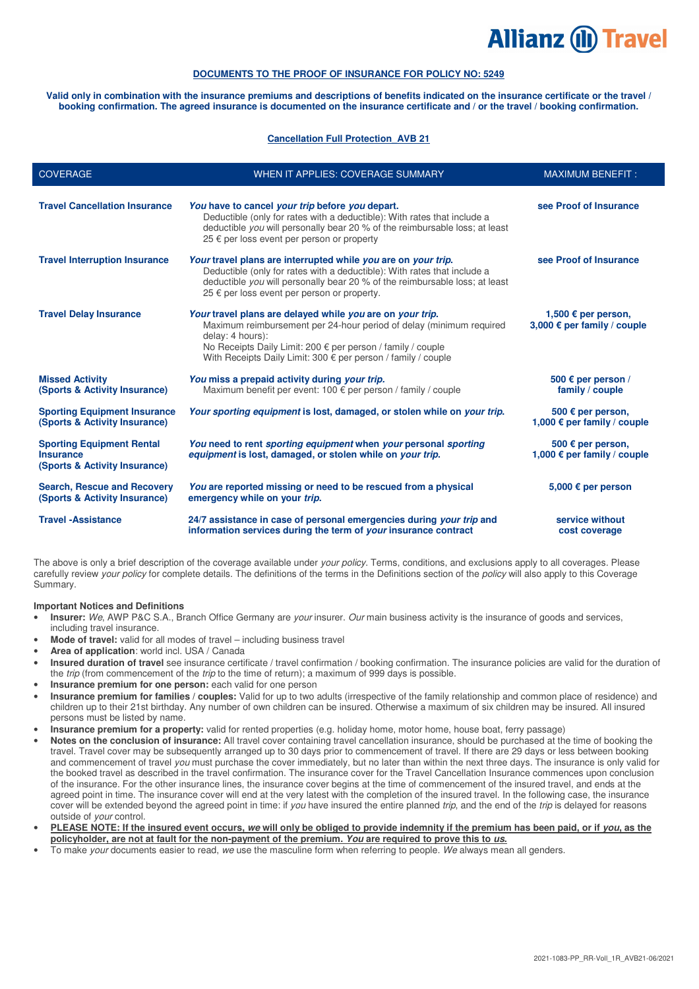# **Allianz (II) Travel**

# **DOCUMENTS TO THE PROOF OF INSURANCE FOR POLICY NO: 5249**

**Valid only in combination with the insurance premiums and descriptions of benefits indicated on the insurance certificate or the travel / booking confirmation. The agreed insurance is documented on the insurance certificate and / or the travel / booking confirmation.** 

#### **Cancellation Full Protection\_AVB 21**

| <b>COVERAGE</b>                                                                       | WHEN IT APPLIES: COVERAGE SUMMARY                                                                                                                                                                                                                                                             | <b>MAXIMUM BENEFIT:</b>                                   |
|---------------------------------------------------------------------------------------|-----------------------------------------------------------------------------------------------------------------------------------------------------------------------------------------------------------------------------------------------------------------------------------------------|-----------------------------------------------------------|
| <b>Travel Cancellation Insurance</b>                                                  | You have to cancel your trip before you depart.<br>Deductible (only for rates with a deductible): With rates that include a<br>deductible you will personally bear 20 % of the reimbursable loss; at least<br>25 € per loss event per person or property                                      | see Proof of Insurance                                    |
| <b>Travel Interruption Insurance</b>                                                  | Your travel plans are interrupted while you are on your trip.<br>Deductible (only for rates with a deductible): With rates that include a<br>deductible you will personally bear 20 % of the reimbursable loss; at least<br>25 € per loss event per person or property.                       | see Proof of Insurance                                    |
| <b>Travel Delay Insurance</b>                                                         | Your travel plans are delayed while you are on your trip.<br>Maximum reimbursement per 24-hour period of delay (minimum required<br>delay: 4 hours):<br>No Receipts Daily Limit: 200 € per person / family / couple<br>With Receipts Daily Limit: 300 $\epsilon$ per person / family / couple | 1,500 € per person,<br>3,000 € per family / couple        |
| <b>Missed Activity</b><br>(Sports & Activity Insurance)                               | You miss a prepaid activity during your trip.<br>Maximum benefit per event: 100 € per person / family / couple                                                                                                                                                                                | 500 $\epsilon$ per person /<br>family / couple            |
| <b>Sporting Equipment Insurance</b><br>(Sports & Activity Insurance)                  | Your sporting equipment is lost, damaged, or stolen while on your trip.                                                                                                                                                                                                                       | 500 € per person,<br>1,000 € per family / couple          |
| <b>Sporting Equipment Rental</b><br><b>Insurance</b><br>(Sports & Activity Insurance) | You need to rent sporting equipment when your personal sporting<br>equipment is lost, damaged, or stolen while on your trip.                                                                                                                                                                  | 500 $\epsilon$ per person,<br>1,000 € per family / couple |
| <b>Search, Rescue and Recovery</b><br>(Sports & Activity Insurance)                   | You are reported missing or need to be rescued from a physical<br>emergency while on your trip.                                                                                                                                                                                               | 5,000 € per person                                        |
| <b>Travel -Assistance</b>                                                             | 24/7 assistance in case of personal emergencies during your trip and<br>information services during the term of your insurance contract                                                                                                                                                       | service without<br>cost coverage                          |

The above is only a brief description of the coverage available under your policy. Terms, conditions, and exclusions apply to all coverages. Please carefully review your policy for complete details. The definitions of the terms in the Definitions section of the policy will also apply to this Coverage Summary.

#### **Important Notices and Definitions**

- **Insurer:** We, AWP P&C S.A., Branch Office Germany are your insurer. Our main business activity is the insurance of goods and services, including travel insurance.
- **Mode of travel:** valid for all modes of travel including business travel
- **Area of application**: world incl. USA / Canada
- **Insured duration of travel** see insurance certificate / travel confirmation / booking confirmation. The insurance policies are valid for the duration of the trip (from commencement of the trip to the time of return); a maximum of 999 days is possible.
- **Insurance premium for one person:** each valid for one person
- **Insurance premium for families / couples:** Valid for up to two adults (irrespective of the family relationship and common place of residence) and children up to their 21st birthday. Any number of own children can be insured. Otherwise a maximum of six children may be insured. All insured persons must be listed by name.
- **Insurance premium for a property:** valid for rented properties (e.g. holiday home, motor home, house boat, ferry passage)
- **Notes on the conclusion of insurance:** All travel cover containing travel cancellation insurance, should be purchased at the time of booking the travel. Travel cover may be subsequently arranged up to 30 days prior to commencement of travel. If there are 29 days or less between booking and commencement of travel you must purchase the cover immediately, but no later than within the next three days. The insurance is only valid for the booked travel as described in the travel confirmation. The insurance cover for the Travel Cancellation Insurance commences upon conclusion of the insurance. For the other insurance lines, the insurance cover begins at the time of commencement of the insured travel, and ends at the agreed point in time. The insurance cover will end at the very latest with the completion of the insured travel. In the following case, the insurance cover will be extended beyond the agreed point in time: if you have insured the entire planned trip, and the end of the trip is delayed for reasons outside of your control.
- **PLEASE NOTE: If the insured event occurs, we will only be obliged to provide indemnity if the premium has been paid, or if you, as the policyholder, are not at fault for the non-payment of the premium. You are required to prove this to us.**
- To make your documents easier to read, we use the masculine form when referring to people. We always mean all genders.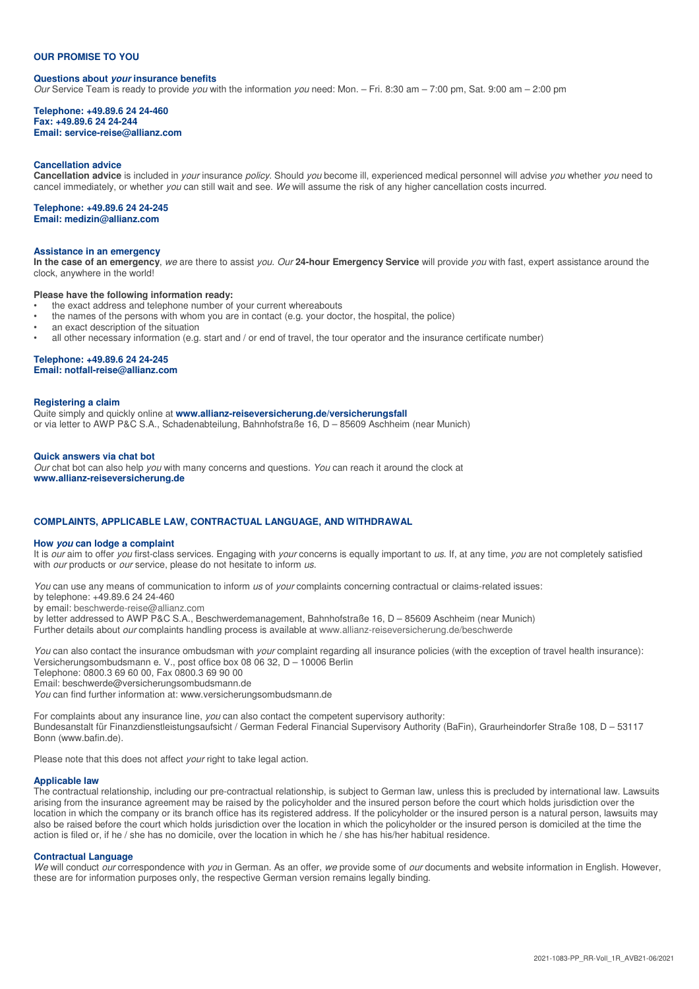#### **OUR PROMISE TO YOU**

# **Questions about your insurance benefits**

Our Service Team is ready to provide you with the information you need: Mon. – Fri. 8:30 am – 7:00 pm, Sat. 9:00 am – 2:00 pm

#### **Telephone: +49.89.6 24 24-460 Fax: +49.89.6 24 24-244 Email: service-reise@allianz.com**

#### **Cancellation advice**

**Cancellation advice** is included in your insurance policy. Should you become ill, experienced medical personnel will advise you whether you need to cancel immediately, or whether you can still wait and see. We will assume the risk of any higher cancellation costs incurred.

#### **Telephone: +49.89.6 24 24-245**

**Email: medizin@allianz.com** 

#### **Assistance in an emergency**

**In the case of an emergency**, we are there to assist you. Our **24-hour Emergency Service** will provide you with fast, expert assistance around the clock, anywhere in the world!

#### **Please have the following information ready:**

- the exact address and telephone number of your current whereabouts
- the names of the persons with whom you are in contact (e.g. your doctor, the hospital, the police)
- an exact description of the situation
- all other necessary information (e.g. start and / or end of travel, the tour operator and the insurance certificate number)

#### **Telephone: +49.89.6 24 24-245**

**Email: notfall-reise@allianz.com** 

#### **Registering a claim**

Quite simply and quickly online at **www.allianz-reiseversicherung.de/versicherungsfall** or via letter to AWP P&C S.A., Schadenabteilung, Bahnhofstraße 16, D – 85609 Aschheim (near Munich)

#### **Quick answers via chat bot**

Our chat bot can also help you with many concerns and questions. You can reach it around the clock at **www.allianz-reiseversicherung.de**

#### **COMPLAINTS, APPLICABLE LAW, CONTRACTUAL LANGUAGE, AND WITHDRAWAL**

#### **How you can lodge a complaint**

It is our aim to offer you first-class services. Engaging with your concerns is equally important to us. If, at any time, you are not completely satisfied with *our* products or *our* service, please do not hesitate to inform us.

You can use any means of communication to inform us of your complaints concerning contractual or claims-related issues:

by telephone: +49.89.6 24 24-460

by email: beschwerde-reise@allianz.com

by letter addressed to AWP P&C S.A., Beschwerdemanagement, Bahnhofstraße 16, D – 85609 Aschheim (near Munich)

Further details about our complaints handling process is available at www.allianz-reiseversicherung.de/beschwerde

You can also contact the insurance ombudsman with your complaint regarding all insurance policies (with the exception of travel health insurance): Versicherungsombudsmann e. V., post office box 08 06 32, D – 10006 Berlin

Telephone: 0800.3 69 60 00, Fax 0800.3 69 90 00

Email: beschwerde@versicherungsombudsmann.de

You can find further information at: www.versicherungsombudsmann.de

For complaints about any insurance line, you can also contact the competent supervisory authority: Bundesanstalt für Finanzdienstleistungsaufsicht / German Federal Financial Supervisory Authority (BaFin), Graurheindorfer Straße 108, D – 53117 Bonn (www.bafin.de).

Please note that this does not affect your right to take legal action.

#### **Applicable law**

The contractual relationship, including our pre-contractual relationship, is subject to German law, unless this is precluded by international law. Lawsuits arising from the insurance agreement may be raised by the policyholder and the insured person before the court which holds jurisdiction over the location in which the company or its branch office has its registered address. If the policyholder or the insured person is a natural person, lawsuits may also be raised before the court which holds jurisdiction over the location in which the policyholder or the insured person is domiciled at the time the action is filed or, if he / she has no domicile, over the location in which he / she has his/her habitual residence.

#### **Contractual Language**

We will conduct our correspondence with you in German. As an offer, we provide some of our documents and website information in English. However, these are for information purposes only, the respective German version remains legally binding.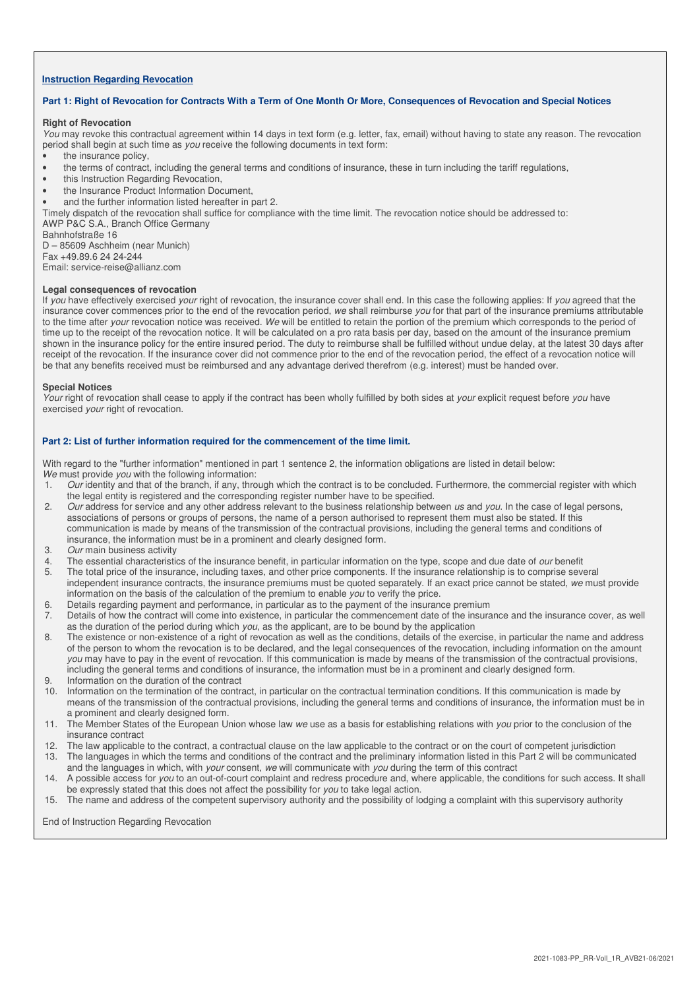#### **Instruction Regarding Revocation**

#### **Part 1: Right of Revocation for Contracts With a Term of One Month Or More, Consequences of Revocation and Special Notices**

#### **Right of Revocation**

You may revoke this contractual agreement within 14 days in text form (e.g. letter, fax, email) without having to state any reason. The revocation period shall begin at such time as you receive the following documents in text form:

the insurance policy.

- the terms of contract, including the general terms and conditions of insurance, these in turn including the tariff regulations,
- this Instruction Regarding Revocation,
- the Insurance Product Information Document,
- and the further information listed hereafter in part 2.

Timely dispatch of the revocation shall suffice for compliance with the time limit. The revocation notice should be addressed to:

AWP P&C S.A., Branch Office Germany

Bahnhofstraße 16

D – 85609 Aschheim (near Munich) Fax +49.89.6 24 24-244

Email: service-reise@allianz.com

#### **Legal consequences of revocation**

If you have effectively exercised your right of revocation, the insurance cover shall end. In this case the following applies: If you agreed that the insurance cover commences prior to the end of the revocation period, we shall reimburse you for that part of the insurance premiums attributable to the time after your revocation notice was received. We will be entitled to retain the portion of the premium which corresponds to the period of time up to the receipt of the revocation notice. It will be calculated on a pro rata basis per day, based on the amount of the insurance premium shown in the insurance policy for the entire insured period. The duty to reimburse shall be fulfilled without undue delay, at the latest 30 days after receipt of the revocation. If the insurance cover did not commence prior to the end of the revocation period, the effect of a revocation notice will be that any benefits received must be reimbursed and any advantage derived therefrom (e.g. interest) must be handed over.

#### **Special Notices**

Your right of revocation shall cease to apply if the contract has been wholly fulfilled by both sides at your explicit request before you have exercised your right of revocation.

## **Part 2: List of further information required for the commencement of the time limit.**

With regard to the "further information" mentioned in part 1 sentence 2, the information obligations are listed in detail below: We must provide you with the following information:

- 1. Our identity and that of the branch, if any, through which the contract is to be concluded. Furthermore, the commercial register with which the legal entity is registered and the corresponding register number have to be specified.
- 2. Our address for service and any other address relevant to the business relationship between us and you. In the case of legal persons, associations of persons or groups of persons, the name of a person authorised to represent them must also be stated. If this communication is made by means of the transmission of the contractual provisions, including the general terms and conditions of insurance, the information must be in a prominent and clearly designed form.
- 3. Our main business activity
- 4. The essential characteristics of the insurance benefit, in particular information on the type, scope and due date of *our* benefit
- 5. The total price of the insurance, including taxes, and other price components. If the insurance relationship is to comprise several independent insurance contracts, the insurance premiums must be quoted separately. If an exact price cannot be stated, we must provide information on the basis of the calculation of the premium to enable you to verify the price.
- 6. Details regarding payment and performance, in particular as to the payment of the insurance premium
- 7. Details of how the contract will come into existence, in particular the commencement date of the insurance and the insurance cover, as well as the duration of the period during which you, as the applicant, are to be bound by the application
- 8. The existence or non-existence of a right of revocation as well as the conditions, details of the exercise, in particular the name and address of the person to whom the revocation is to be declared, and the legal consequences of the revocation, including information on the amount you may have to pay in the event of revocation. If this communication is made by means of the transmission of the contractual provisions, including the general terms and conditions of insurance, the information must be in a prominent and clearly designed form.
- 9. Information on the duration of the contract
- 10. Information on the termination of the contract, in particular on the contractual termination conditions. If this communication is made by means of the transmission of the contractual provisions, including the general terms and conditions of insurance, the information must be in a prominent and clearly designed form.
- 11. The Member States of the European Union whose law we use as a basis for establishing relations with you prior to the conclusion of the insurance contract
- 12. The law applicable to the contract, a contractual clause on the law applicable to the contract or on the court of competent jurisdiction
- 13. The languages in which the terms and conditions of the contract and the preliminary information listed in this Part 2 will be communicated and the languages in which, with your consent, we will communicate with you during the term of this contract
- 14. A possible access for you to an out-of-court complaint and redress procedure and, where applicable, the conditions for such access. It shall be expressly stated that this does not affect the possibility for you to take legal action.
- 15. The name and address of the competent supervisory authority and the possibility of lodging a complaint with this supervisory authority

End of Instruction Regarding Revocation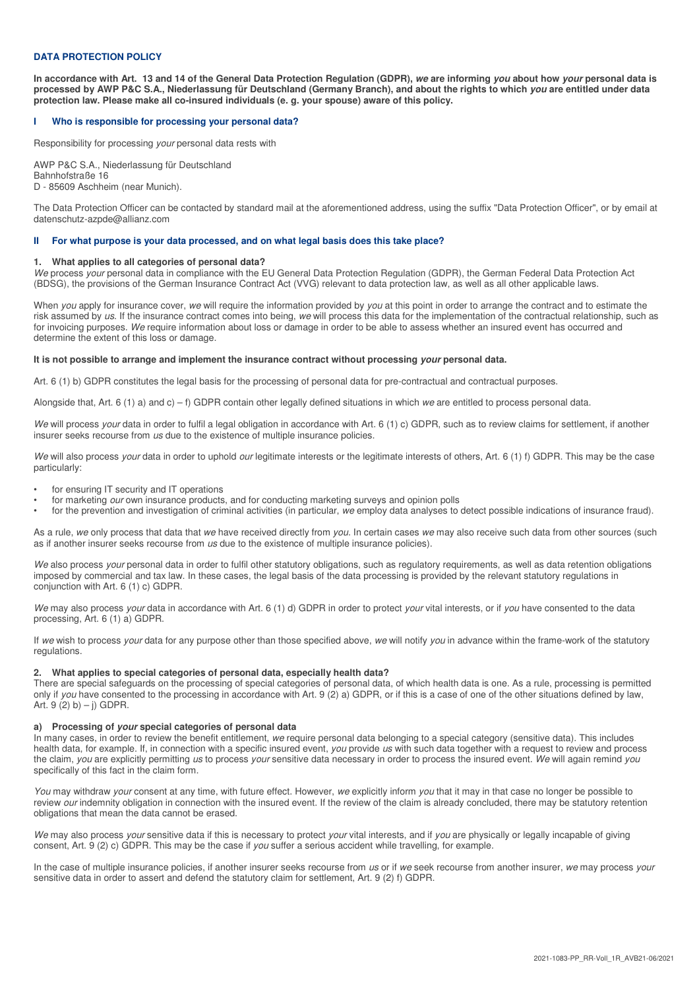## **DATA PROTECTION POLICY**

**In accordance with Art. 13 and 14 of the General Data Protection Regulation (GDPR), we are informing you about how your personal data is processed by AWP P&C S.A., Niederlassung für Deutschland (Germany Branch), and about the rights to which you are entitled under data protection law. Please make all co-insured individuals (e. g. your spouse) aware of this policy.** 

#### **I Who is responsible for processing your personal data?**

Responsibility for processing your personal data rests with

AWP P&C S.A., Niederlassung für Deutschland Bahnhofstraße 16 D - 85609 Aschheim (near Munich).

The Data Protection Officer can be contacted by standard mail at the aforementioned address, using the suffix "Data Protection Officer", or by email at datenschutz-azpde@allianz.com

#### **II For what purpose is your data processed, and on what legal basis does this take place?**

#### **1. What applies to all categories of personal data?**

We process your personal data in compliance with the EU General Data Protection Regulation (GDPR), the German Federal Data Protection Act (BDSG), the provisions of the German Insurance Contract Act (VVG) relevant to data protection law, as well as all other applicable laws.

When you apply for insurance cover, we will require the information provided by you at this point in order to arrange the contract and to estimate the risk assumed by us. If the insurance contract comes into being, we will process this data for the implementation of the contractual relationship, such as for invoicing purposes. We require information about loss or damage in order to be able to assess whether an insured event has occurred and determine the extent of this loss or damage.

#### It is not possible to arrange and implement the insurance contract without processing *your* personal data.

Art. 6 (1) b) GDPR constitutes the legal basis for the processing of personal data for pre-contractual and contractual purposes.

Alongside that, Art. 6 (1) a) and c) – f) GDPR contain other legally defined situations in which we are entitled to process personal data.

We will process your data in order to fulfil a legal obligation in accordance with Art. 6 (1) c) GDPR, such as to review claims for settlement, if another insurer seeks recourse from us due to the existence of multiple insurance policies.

We will also process your data in order to uphold our legitimate interests or the legitimate interests of others, Art. 6 (1) f) GDPR. This may be the case particularly:

- for ensuring IT security and IT operations
- for marketing our own insurance products, and for conducting marketing surveys and opinion polls
- for the prevention and investigation of criminal activities (in particular, we employ data analyses to detect possible indications of insurance fraud).

As a rule, we only process that data that we have received directly from you. In certain cases we may also receive such data from other sources (such as if another insurer seeks recourse from us due to the existence of multiple insurance policies).

We also process *your* personal data in order to fulfil other statutory obligations, such as regulatory requirements, as well as data retention obligations imposed by commercial and tax law. In these cases, the legal basis of the data processing is provided by the relevant statutory regulations in conjunction with Art. 6 (1) c) GDPR.

We may also process your data in accordance with Art. 6 (1) d) GDPR in order to protect your vital interests, or if you have consented to the data processing, Art. 6 (1) a) GDPR.

If we wish to process your data for any purpose other than those specified above, we will notify you in advance within the frame-work of the statutory regulations.

#### **2. What applies to special categories of personal data, especially health data?**

There are special safeguards on the processing of special categories of personal data, of which health data is one. As a rule, processing is permitted only if you have consented to the processing in accordance with Art. 9 (2) a) GDPR, or if this is a case of one of the other situations defined by law, Art.  $9(2) b$ ) – j) GDPR.

#### **a) Processing of your special categories of personal data**

In many cases, in order to review the benefit entitlement, we require personal data belonging to a special category (sensitive data). This includes health data, for example. If, in connection with a specific insured event, you provide us with such data together with a request to review and process the claim, you are explicitly permitting us to process your sensitive data necessary in order to process the insured event. We will again remind you specifically of this fact in the claim form.

You may withdraw your consent at any time, with future effect. However, we explicitly inform you that it may in that case no longer be possible to review our indemnity obligation in connection with the insured event. If the review of the claim is already concluded, there may be statutory retention obligations that mean the data cannot be erased.

We may also process your sensitive data if this is necessary to protect your vital interests, and if you are physically or legally incapable of giving consent, Art. 9 (2) c) GDPR. This may be the case if you suffer a serious accident while travelling, for example.

In the case of multiple insurance policies, if another insurer seeks recourse from us or if we seek recourse from another insurer, we may process your sensitive data in order to assert and defend the statutory claim for settlement, Art. 9 (2) f) GDPR.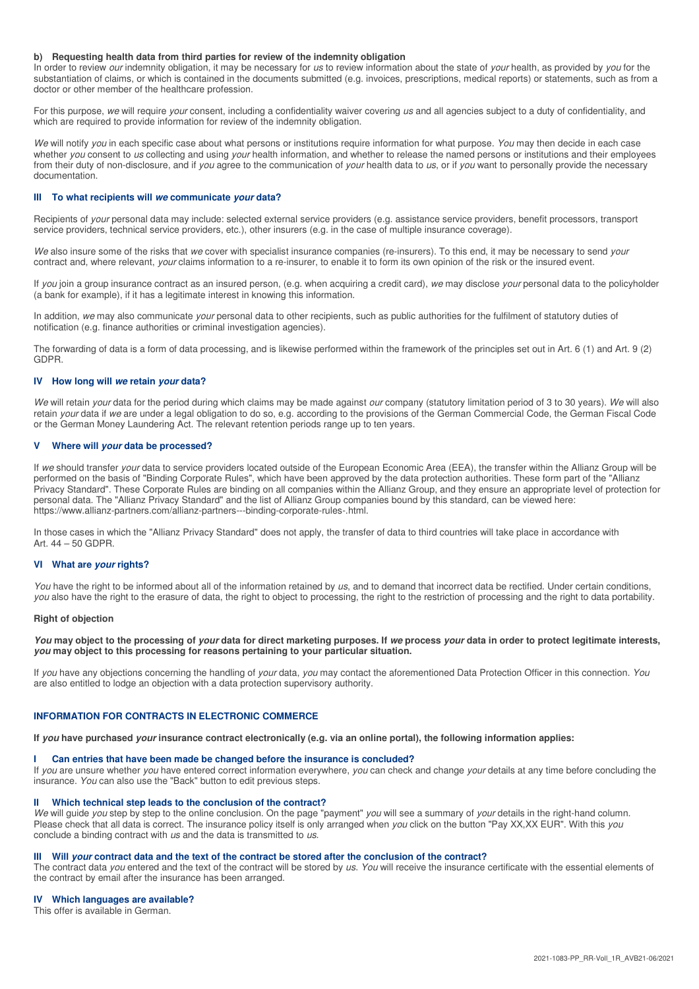#### **b) Requesting health data from third parties for review of the indemnity obligation**

In order to review our indemnity obligation, it may be necessary for us to review information about the state of your health, as provided by you for the substantiation of claims, or which is contained in the documents submitted (e.g. invoices, prescriptions, medical reports) or statements, such as from a doctor or other member of the healthcare profession.

For this purpose, we will require your consent, including a confidentiality waiver covering us and all agencies subject to a duty of confidentiality, and which are required to provide information for review of the indemnity obligation.

We will notify you in each specific case about what persons or institutions require information for what purpose. You may then decide in each case whether you consent to us collecting and using your health information, and whether to release the named persons or institutions and their employees from their duty of non-disclosure, and if you agree to the communication of your health data to us, or if you want to personally provide the necessary documentation.

# **III To what recipients will we communicate your data?**

Recipients of your personal data may include: selected external service providers (e.g. assistance service providers, benefit processors, transport service providers, technical service providers, etc.), other insurers (e.g. in the case of multiple insurance coverage).

We also insure some of the risks that we cover with specialist insurance companies (re-insurers). To this end, it may be necessary to send your contract and, where relevant, your claims information to a re-insurer, to enable it to form its own opinion of the risk or the insured event.

If you join a group insurance contract as an insured person, (e.g. when acquiring a credit card), we may disclose your personal data to the policyholder (a bank for example), if it has a legitimate interest in knowing this information.

In addition, we may also communicate your personal data to other recipients, such as public authorities for the fulfilment of statutory duties of notification (e.g. finance authorities or criminal investigation agencies).

The forwarding of data is a form of data processing, and is likewise performed within the framework of the principles set out in Art. 6 (1) and Art. 9 (2) GDPR.

#### **IV How long will we retain your data?**

We will retain your data for the period during which claims may be made against our company (statutory limitation period of 3 to 30 years). We will also retain your data if we are under a legal obligation to do so, e.g. according to the provisions of the German Commercial Code, the German Fiscal Code or the German Money Laundering Act. The relevant retention periods range up to ten years.

## **V Where will your data be processed?**

If we should transfer your data to service providers located outside of the European Economic Area (EEA), the transfer within the Allianz Group will be performed on the basis of "Binding Corporate Rules", which have been approved by the data protection authorities. These form part of the "Allianz Privacy Standard". These Corporate Rules are binding on all companies within the Allianz Group, and they ensure an appropriate level of protection for personal data. The "Allianz Privacy Standard" and the list of Allianz Group companies bound by this standard, can be viewed here: https://www.allianz-partners.com/allianz-partners---binding-corporate-rules-.html.

In those cases in which the "Allianz Privacy Standard" does not apply, the transfer of data to third countries will take place in accordance with Art. 44 – 50 GDPR.

#### **VI What are your rights?**

You have the right to be informed about all of the information retained by us, and to demand that incorrect data be rectified. Under certain conditions, you also have the right to the erasure of data, the right to object to processing, the right to the restriction of processing and the right to data portability.

#### **Right of objection**

**You may object to the processing of your data for direct marketing purposes. If we process your data in order to protect legitimate interests, you may object to this processing for reasons pertaining to your particular situation.** 

If you have any objections concerning the handling of your data, you may contact the aforementioned Data Protection Officer in this connection. You are also entitled to lodge an objection with a data protection supervisory authority.

# **INFORMATION FOR CONTRACTS IN ELECTRONIC COMMERCE**

**If you have purchased your insurance contract electronically (e.g. via an online portal), the following information applies:** 

#### **I Can entries that have been made be changed before the insurance is concluded?**

If you are unsure whether you have entered correct information everywhere, you can check and change your details at any time before concluding the insurance. You can also use the "Back" button to edit previous steps.

#### **II Which technical step leads to the conclusion of the contract?**

We will guide you step by step to the online conclusion. On the page "payment" you will see a summary of your details in the right-hand column. Please check that all data is correct. The insurance policy itself is only arranged when you click on the button "Pay XX,XX EUR". With this you conclude a binding contract with us and the data is transmitted to us.

#### **III Will your contract data and the text of the contract be stored after the conclusion of the contract?**

The contract data you entered and the text of the contract will be stored by us. You will receive the insurance certificate with the essential elements of the contract by email after the insurance has been arranged.

#### **IV Which languages are available?**

This offer is available in German.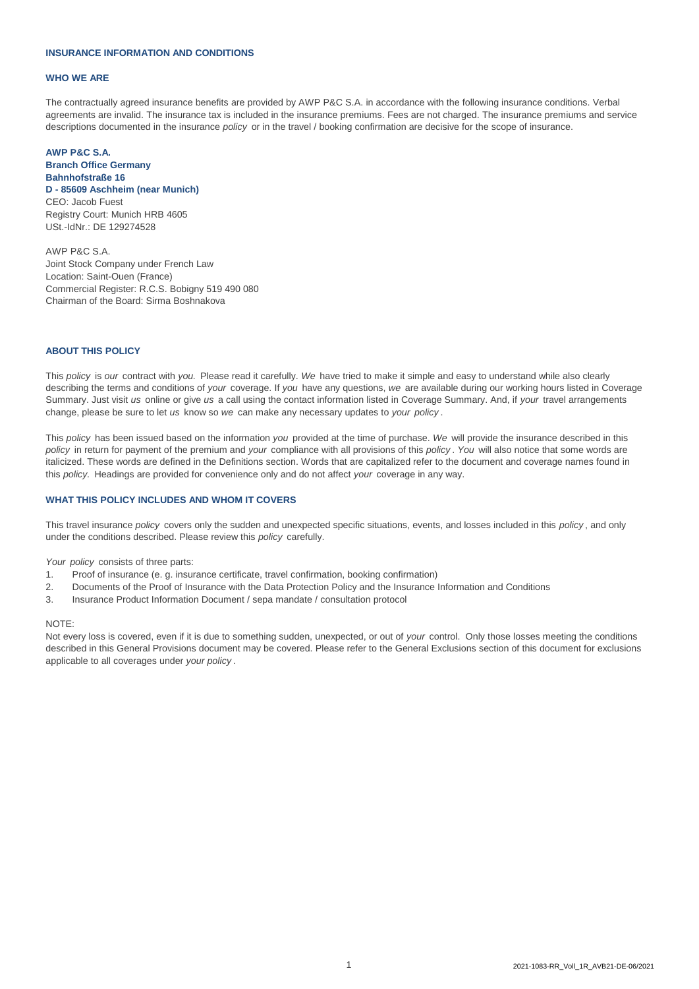### **INSURANCE INFORMATION AND CONDITIONS**

#### **WHO WE ARE**

The contractually agreed insurance benefits are provided by AWP P&C S.A. in accordance with the following insurance conditions. Verbal agreements are invalid. The insurance tax is included in the insurance premiums. Fees are not charged. The insurance premiums and service descriptions documented in the insurance *policy* or in the travel / booking confirmation are decisive for the scope of insurance.

# CEO: Jacob Fuest Registry Court: Munich HRB 4605 USt.-IdNr.: DE 129274528 **AWP P&C S.A. Branch Office Germany Bahnhofstraße 16 D - 85609 Aschheim (near Munich)**

Chairman of the Board: Sirma Boshnakova Location: Saint-Ouen (France) Commercial Register: R.C.S. Bobigny 519 490 080 AWP P&C S.A. Joint Stock Company under French Law

#### **ABOUT THIS POLICY**

This *policy* is *our* contract with *you.* Please read it carefully. *We* have tried to make it simple and easy to understand while also clearly describing the terms and conditions of *your* coverage. If *you* have any questions, *we* are available during our working hours listed in Coverage Summary. Just visit *us* online or give *us* a call using the contact information listed in Coverage Summary. And, if *your* travel arrangements change, please be sure to let *us* know so *we* can make any necessary updates to *your policy* .

This *policy* has been issued based on the information *you* provided at the time of purchase. *We* will provide the insurance described in this *policy* in return for payment of the premium and *your* compliance with all provisions of this *policy* . *You* will also notice that some words are italicized. These words are defined in the Definitions section. Words that are capitalized refer to the document and coverage names found in this *policy.* Headings are provided for convenience only and do not affect *your* coverage in any way.

## **WHAT THIS POLICY INCLUDES AND WHOM IT COVERS**

This travel insurance *policy* covers only the sudden and unexpected specific situations, events, and losses included in this *policy* , and only under the conditions described. Please review this *policy* carefully.

*Your policy* consists of three parts:

- 1. Proof of insurance (e. g. insurance certificate, travel confirmation, booking confirmation)
- 2. Documents of the Proof of Insurance with the Data Protection Policy and the Insurance Information and Conditions
- 3. Insurance Product Information Document / sepa mandate / consultation protocol

## NOTE:

Not every loss is covered, even if it is due to something sudden, unexpected, or out of *your* control. Only those losses meeting the conditions described in this General Provisions document may be covered. Please refer to the General Exclusions section of this document for exclusions applicable to all coverages under *your policy* .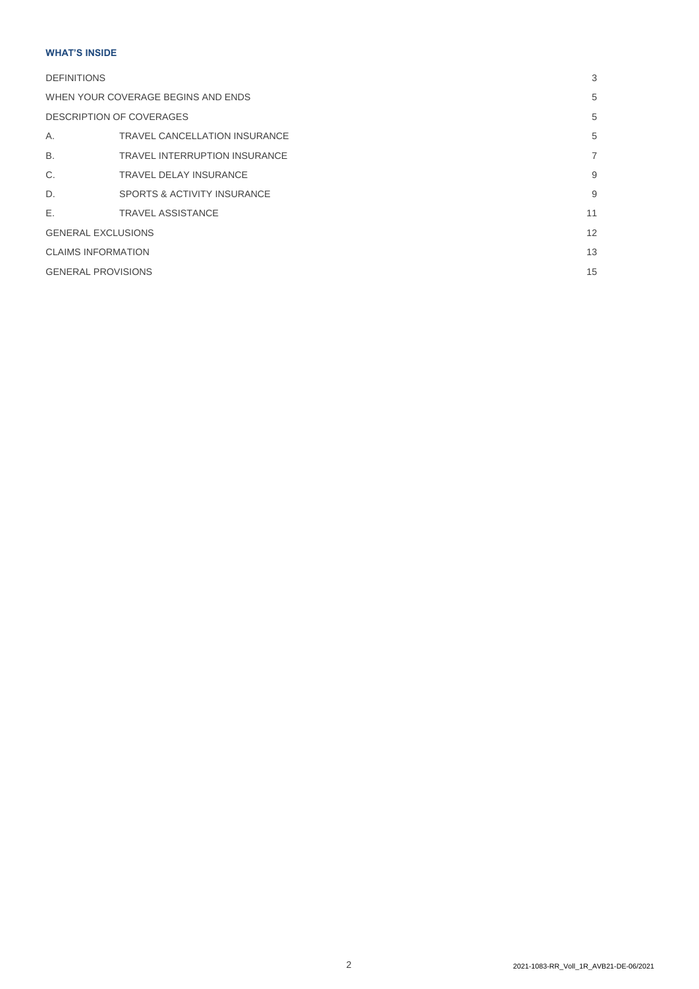# **WHAT'S INSIDE**

| <b>DEFINITIONS</b>                 |                                        |                |
|------------------------------------|----------------------------------------|----------------|
| WHEN YOUR COVERAGE BEGINS AND ENDS |                                        | 5              |
| DESCRIPTION OF COVERAGES           |                                        | 5              |
| Α.                                 | TRAVEL CANCELLATION INSURANCE          | 5              |
| <b>B.</b>                          | <b>TRAVEL INTERRUPTION INSURANCE</b>   | $\overline{7}$ |
| C.                                 | <b>TRAVEL DELAY INSURANCE</b>          | 9              |
| D.                                 | <b>SPORTS &amp; ACTIVITY INSURANCE</b> | 9              |
| E.                                 | <b>TRAVEL ASSISTANCE</b>               | 11             |
| <b>GENERAL EXCLUSIONS</b>          |                                        | 12             |
| <b>CLAIMS INFORMATION</b>          |                                        | 13             |
| <b>GENERAL PROVISIONS</b>          |                                        |                |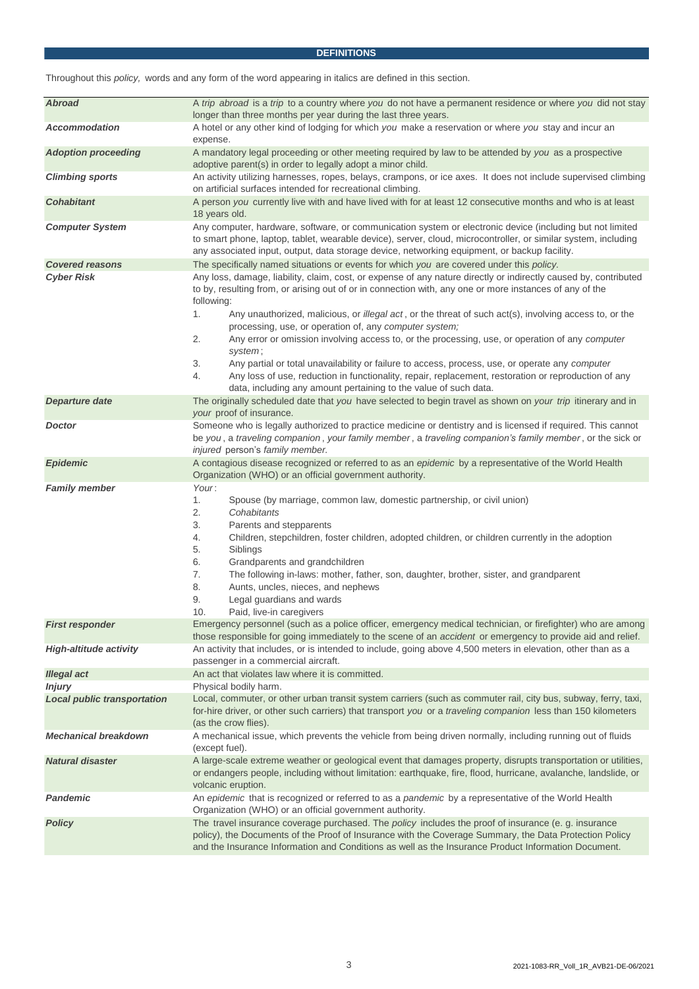# **DEFINITIONS**

|  |  | Throughout this policy, words and any form of the word appearing in italics are defined in this section. |
|--|--|----------------------------------------------------------------------------------------------------------|
|  |  |                                                                                                          |

| A trip abroad is a trip to a country where you do not have a permanent residence or where you did not stay<br>longer than three months per year during the last three years.                                                                                                                                                                                                                                                                                                                                                      |  |  |  |  |
|-----------------------------------------------------------------------------------------------------------------------------------------------------------------------------------------------------------------------------------------------------------------------------------------------------------------------------------------------------------------------------------------------------------------------------------------------------------------------------------------------------------------------------------|--|--|--|--|
| A hotel or any other kind of lodging for which you make a reservation or where you stay and incur an<br>expense.                                                                                                                                                                                                                                                                                                                                                                                                                  |  |  |  |  |
| A mandatory legal proceeding or other meeting required by law to be attended by you as a prospective<br>adoptive parent(s) in order to legally adopt a minor child.                                                                                                                                                                                                                                                                                                                                                               |  |  |  |  |
| An activity utilizing harnesses, ropes, belays, crampons, or ice axes. It does not include supervised climbing<br>on artificial surfaces intended for recreational climbing.                                                                                                                                                                                                                                                                                                                                                      |  |  |  |  |
| A person you currently live with and have lived with for at least 12 consecutive months and who is at least<br>18 years old.                                                                                                                                                                                                                                                                                                                                                                                                      |  |  |  |  |
| Any computer, hardware, software, or communication system or electronic device (including but not limited<br>to smart phone, laptop, tablet, wearable device), server, cloud, microcontroller, or similar system, including<br>any associated input, output, data storage device, networking equipment, or backup facility.                                                                                                                                                                                                       |  |  |  |  |
| The specifically named situations or events for which you are covered under this policy.                                                                                                                                                                                                                                                                                                                                                                                                                                          |  |  |  |  |
| Any loss, damage, liability, claim, cost, or expense of any nature directly or indirectly caused by, contributed<br>to by, resulting from, or arising out of or in connection with, any one or more instances of any of the<br>following:<br>Any unauthorized, malicious, or illegal act, or the threat of such act(s), involving access to, or the<br>1.                                                                                                                                                                         |  |  |  |  |
| processing, use, or operation of, any computer system;<br>2.<br>Any error or omission involving access to, or the processing, use, or operation of any computer                                                                                                                                                                                                                                                                                                                                                                   |  |  |  |  |
| system;<br>3.<br>Any partial or total unavailability or failure to access, process, use, or operate any computer<br>Any loss of use, reduction in functionality, repair, replacement, restoration or reproduction of any<br>4.                                                                                                                                                                                                                                                                                                    |  |  |  |  |
| data, including any amount pertaining to the value of such data.                                                                                                                                                                                                                                                                                                                                                                                                                                                                  |  |  |  |  |
| The originally scheduled date that you have selected to begin travel as shown on your trip itinerary and in                                                                                                                                                                                                                                                                                                                                                                                                                       |  |  |  |  |
| your proof of insurance.                                                                                                                                                                                                                                                                                                                                                                                                                                                                                                          |  |  |  |  |
| Someone who is legally authorized to practice medicine or dentistry and is licensed if required. This cannot<br>be you, a traveling companion, your family member, a traveling companion's family member, or the sick or<br>injured person's family member.                                                                                                                                                                                                                                                                       |  |  |  |  |
| A contagious disease recognized or referred to as an epidemic by a representative of the World Health<br>Organization (WHO) or an official government authority.                                                                                                                                                                                                                                                                                                                                                                  |  |  |  |  |
| Your:<br>1.<br>Spouse (by marriage, common law, domestic partnership, or civil union)<br>2.<br>Cohabitants<br>3.<br>Parents and stepparents<br>Children, stepchildren, foster children, adopted children, or children currently in the adoption<br>4.<br>5.<br>Siblings<br>6.<br>Grandparents and grandchildren<br>The following in-laws: mother, father, son, daughter, brother, sister, and grandparent<br>7.<br>8.<br>Aunts, uncles, nieces, and nephews<br>Legal guardians and wards<br>9.<br>10.<br>Paid, live-in caregivers |  |  |  |  |
| Emergency personnel (such as a police officer, emergency medical technician, or firefighter) who are among<br>those responsible for going immediately to the scene of an accident or emergency to provide aid and relief.                                                                                                                                                                                                                                                                                                         |  |  |  |  |
| An activity that includes, or is intended to include, going above 4,500 meters in elevation, other than as a<br>passenger in a commercial aircraft.                                                                                                                                                                                                                                                                                                                                                                               |  |  |  |  |
| An act that violates law where it is committed.                                                                                                                                                                                                                                                                                                                                                                                                                                                                                   |  |  |  |  |
| Physical bodily harm.                                                                                                                                                                                                                                                                                                                                                                                                                                                                                                             |  |  |  |  |
| Local, commuter, or other urban transit system carriers (such as commuter rail, city bus, subway, ferry, taxi,<br>for-hire driver, or other such carriers) that transport you or a traveling companion less than 150 kilometers<br>(as the crow flies).                                                                                                                                                                                                                                                                           |  |  |  |  |
| A mechanical issue, which prevents the vehicle from being driven normally, including running out of fluids<br>(except fuel).                                                                                                                                                                                                                                                                                                                                                                                                      |  |  |  |  |
| A large-scale extreme weather or geological event that damages property, disrupts transportation or utilities,<br>or endangers people, including without limitation: earthquake, fire, flood, hurricane, avalanche, landslide, or<br>volcanic eruption.                                                                                                                                                                                                                                                                           |  |  |  |  |
| An epidemic that is recognized or referred to as a pandemic by a representative of the World Health<br>Organization (WHO) or an official government authority.                                                                                                                                                                                                                                                                                                                                                                    |  |  |  |  |
| The travel insurance coverage purchased. The policy includes the proof of insurance (e. g. insurance<br>policy), the Documents of the Proof of Insurance with the Coverage Summary, the Data Protection Policy<br>and the Insurance Information and Conditions as well as the Insurance Product Information Document.                                                                                                                                                                                                             |  |  |  |  |
|                                                                                                                                                                                                                                                                                                                                                                                                                                                                                                                                   |  |  |  |  |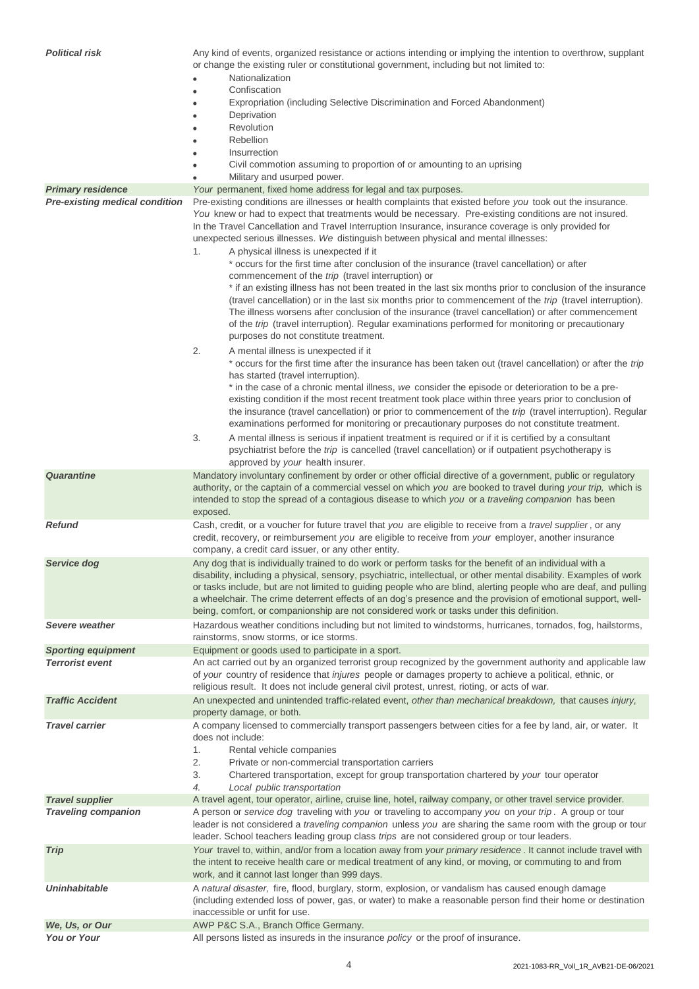| <b>Political risk</b>                 | Any kind of events, organized resistance or actions intending or implying the intention to overthrow, supplant<br>or change the existing ruler or constitutional government, including but not limited to:<br>Nationalization                                                                                                                                                                                                                                            |  |  |  |  |
|---------------------------------------|--------------------------------------------------------------------------------------------------------------------------------------------------------------------------------------------------------------------------------------------------------------------------------------------------------------------------------------------------------------------------------------------------------------------------------------------------------------------------|--|--|--|--|
|                                       | Confiscation                                                                                                                                                                                                                                                                                                                                                                                                                                                             |  |  |  |  |
|                                       | Expropriation (including Selective Discrimination and Forced Abandonment)                                                                                                                                                                                                                                                                                                                                                                                                |  |  |  |  |
|                                       | Deprivation                                                                                                                                                                                                                                                                                                                                                                                                                                                              |  |  |  |  |
|                                       | Revolution                                                                                                                                                                                                                                                                                                                                                                                                                                                               |  |  |  |  |
|                                       | Rebellion                                                                                                                                                                                                                                                                                                                                                                                                                                                                |  |  |  |  |
|                                       | Insurrection                                                                                                                                                                                                                                                                                                                                                                                                                                                             |  |  |  |  |
|                                       | Civil commotion assuming to proportion of or amounting to an uprising                                                                                                                                                                                                                                                                                                                                                                                                    |  |  |  |  |
| <b>Primary residence</b>              | Military and usurped power.<br>Your permanent, fixed home address for legal and tax purposes.                                                                                                                                                                                                                                                                                                                                                                            |  |  |  |  |
| <b>Pre-existing medical condition</b> | Pre-existing conditions are illnesses or health complaints that existed before you took out the insurance.                                                                                                                                                                                                                                                                                                                                                               |  |  |  |  |
|                                       | You knew or had to expect that treatments would be necessary. Pre-existing conditions are not insured.<br>In the Travel Cancellation and Travel Interruption Insurance, insurance coverage is only provided for<br>unexpected serious illnesses. We distinguish between physical and mental illnesses:<br>A physical illness is unexpected if it<br>1.                                                                                                                   |  |  |  |  |
|                                       | * occurs for the first time after conclusion of the insurance (travel cancellation) or after<br>commencement of the trip (travel interruption) or                                                                                                                                                                                                                                                                                                                        |  |  |  |  |
|                                       | * if an existing illness has not been treated in the last six months prior to conclusion of the insurance<br>(travel cancellation) or in the last six months prior to commencement of the trip (travel interruption).<br>The illness worsens after conclusion of the insurance (travel cancellation) or after commencement<br>of the trip (travel interruption). Regular examinations performed for monitoring or precautionary<br>purposes do not constitute treatment. |  |  |  |  |
|                                       | 2.<br>A mental illness is unexpected if it<br>* occurs for the first time after the insurance has been taken out (travel cancellation) or after the trip                                                                                                                                                                                                                                                                                                                 |  |  |  |  |
|                                       | has started (travel interruption).<br>* in the case of a chronic mental illness, we consider the episode or deterioration to be a pre-<br>existing condition if the most recent treatment took place within three years prior to conclusion of                                                                                                                                                                                                                           |  |  |  |  |
|                                       | the insurance (travel cancellation) or prior to commencement of the trip (travel interruption). Regular<br>examinations performed for monitoring or precautionary purposes do not constitute treatment.<br>3.<br>A mental illness is serious if inpatient treatment is required or if it is certified by a consultant                                                                                                                                                    |  |  |  |  |
|                                       | psychiatrist before the trip is cancelled (travel cancellation) or if outpatient psychotherapy is<br>approved by your health insurer.                                                                                                                                                                                                                                                                                                                                    |  |  |  |  |
| <b>Quarantine</b>                     | Mandatory involuntary confinement by order or other official directive of a government, public or regulatory<br>authority, or the captain of a commercial vessel on which you are booked to travel during your trip, which is<br>intended to stop the spread of a contagious disease to which you or a traveling companion has been<br>exposed.                                                                                                                          |  |  |  |  |
| <b>Refund</b>                         | Cash, credit, or a voucher for future travel that you are eligible to receive from a travel supplier, or any<br>credit, recovery, or reimbursement you are eligible to receive from your employer, another insurance<br>company, a credit card issuer, or any other entity.                                                                                                                                                                                              |  |  |  |  |
| Service dog                           | Any dog that is individually trained to do work or perform tasks for the benefit of an individual with a                                                                                                                                                                                                                                                                                                                                                                 |  |  |  |  |
|                                       | disability, including a physical, sensory, psychiatric, intellectual, or other mental disability. Examples of work<br>or tasks include, but are not limited to guiding people who are blind, alerting people who are deaf, and pulling<br>a wheelchair. The crime deterrent effects of an dog's presence and the provision of emotional support, well-<br>being, comfort, or companionship are not considered work or tasks under this definition.                       |  |  |  |  |
| Severe weather                        | Hazardous weather conditions including but not limited to windstorms, hurricanes, tornados, fog, hailstorms,<br>rainstorms, snow storms, or ice storms.                                                                                                                                                                                                                                                                                                                  |  |  |  |  |
| <b>Sporting equipment</b>             | Equipment or goods used to participate in a sport.                                                                                                                                                                                                                                                                                                                                                                                                                       |  |  |  |  |
| <b>Terrorist event</b>                | An act carried out by an organized terrorist group recognized by the government authority and applicable law<br>of your country of residence that injures people or damages property to achieve a political, ethnic, or<br>religious result. It does not include general civil protest, unrest, rioting, or acts of war.                                                                                                                                                 |  |  |  |  |
| <b>Traffic Accident</b>               | An unexpected and unintended traffic-related event, other than mechanical breakdown, that causes injury,<br>property damage, or both.                                                                                                                                                                                                                                                                                                                                    |  |  |  |  |
| <b>Travel carrier</b>                 | A company licensed to commercially transport passengers between cities for a fee by land, air, or water. It<br>does not include:<br>Rental vehicle companies<br>1.                                                                                                                                                                                                                                                                                                       |  |  |  |  |
|                                       | 2.<br>Private or non-commercial transportation carriers<br>Chartered transportation, except for group transportation chartered by your tour operator<br>3.<br>Local public transportation<br>4.                                                                                                                                                                                                                                                                          |  |  |  |  |
| <b>Travel supplier</b>                | A travel agent, tour operator, airline, cruise line, hotel, railway company, or other travel service provider.                                                                                                                                                                                                                                                                                                                                                           |  |  |  |  |
| <b>Traveling companion</b>            | A person or service dog traveling with you or traveling to accompany you on your trip. A group or tour<br>leader is not considered a traveling companion unless you are sharing the same room with the group or tour<br>leader. School teachers leading group class trips are not considered group or tour leaders.                                                                                                                                                      |  |  |  |  |
| <b>Trip</b>                           | Your travel to, within, and/or from a location away from your primary residence. It cannot include travel with<br>the intent to receive health care or medical treatment of any kind, or moving, or commuting to and from<br>work, and it cannot last longer than 999 days.                                                                                                                                                                                              |  |  |  |  |
| <b>Uninhabitable</b>                  | A natural disaster, fire, flood, burglary, storm, explosion, or vandalism has caused enough damage<br>(including extended loss of power, gas, or water) to make a reasonable person find their home or destination<br>inaccessible or unfit for use.                                                                                                                                                                                                                     |  |  |  |  |
| We, Us, or Our                        | AWP P&C S.A., Branch Office Germany.                                                                                                                                                                                                                                                                                                                                                                                                                                     |  |  |  |  |
| <b>You or Your</b>                    | All persons listed as insureds in the insurance policy or the proof of insurance.                                                                                                                                                                                                                                                                                                                                                                                        |  |  |  |  |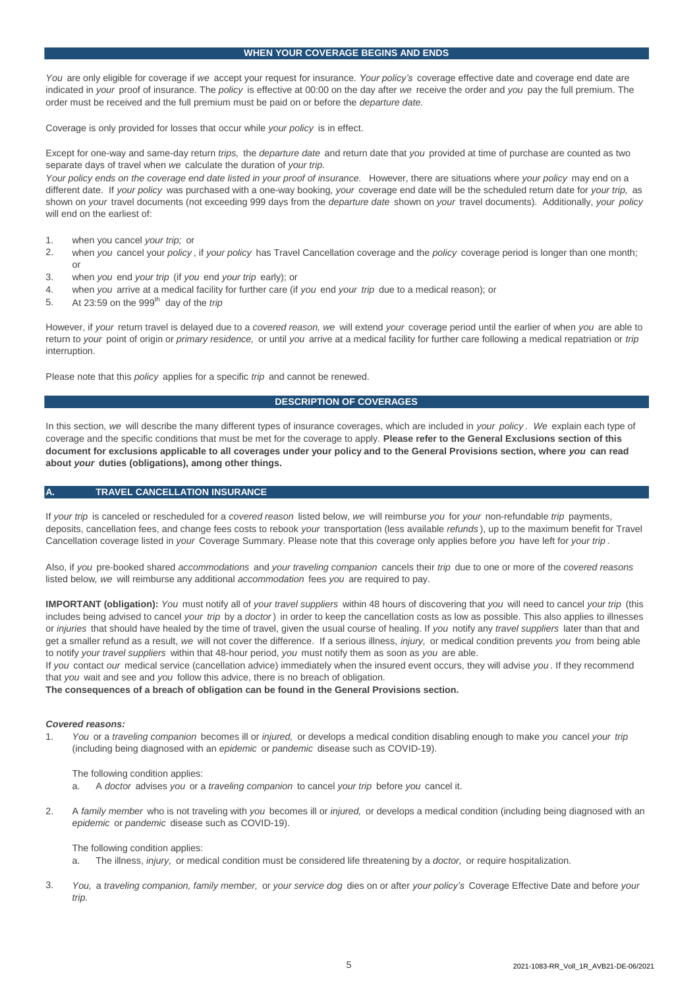#### **WHEN YOUR COVERAGE BEGINS AND ENDS**

*You* are only eligible for coverage if *we* accept your request for insurance. *Your policy's* coverage effective date and coverage end date are indicated in *your* proof of insurance. The *policy* is effective at 00:00 on the day after *we* receive the order and *you* pay the full premium. The order must be received and the full premium must be paid on or before the *departure date.*

Coverage is only provided for losses that occur while *your policy* is in effect.

Except for one-way and same-day return *trips,* the *departure date* and return date that *you* provided at time of purchase are counted as two separate days of travel when *we* calculate the duration of *your trip.*

Your policy ends on the coverage end date listed in your proof of insurance. However, there are situations where your policy may end on a different date. If *your policy* was purchased with a one-way booking, *your* coverage end date will be the scheduled return date for *your trip,* as shown on *your* travel documents (not exceeding 999 days from the *departure date* shown on *your* travel documents). Additionally, *your policy*  will end on the earliest of:

- 1. when you cancel *your trip;* or
- $\mathcal{L}$ when *you* cancel your *policy* , if *your policy* has Travel Cancellation coverage and the *policy* coverage period is longer than one month; or
- 3. when *you* end *your trip* (if *you* end *your trip* early); or
- 4. when *you* arrive at a medical facility for further care (if *you* end *your trip* due to a medical reason); or
- 5. At 23:59 on the 999th day of the *trip*

However, if *your* return travel is delayed due to a *covered reason, we* will extend *your* coverage period until the earlier of when *you* are able to return to *your* point of origin or *primary residence,* or until *you* arrive at a medical facility for further care following a medical repatriation or *trip*  interruption.

Please note that this *policy* applies for a specific *trip* and cannot be renewed.

#### **DESCRIPTION OF COVERAGES**

In this section, *we* will describe the many different types of insurance coverages, which are included in *your policy* . *We* explain each type of coverage and the specific conditions that must be met for the coverage to apply. **Please refer to the General Exclusions section of this document for exclusions applicable to all coverages under your policy and to the General Provisions section, where** *you* **can read about** *your* **duties (obligations), among other things.**

#### **A. TRAVEL CANCELLATION INSURANCE**

If *your trip* is canceled or rescheduled for a *covered reason* listed below, *we* will reimburse *you* for *your* non-refundable *trip* payments, deposits, cancellation fees, and change fees costs to rebook *your* transportation (less available *refunds* ), up to the maximum benefit for Travel Cancellation coverage listed in *your* Coverage Summary. Please note that this coverage only applies before *you* have left for *your trip* .

Also, if *you* pre-booked shared *accommodations* and *your traveling companion* cancels their *trip* due to one or more of the *covered reasons*  listed below*, we* will reimburse any additional *accommodation* fees *you* are required to pay.

**IMPORTANT (obligation):** *You* must notify all of *your travel suppliers* within 48 hours of discovering that *you* will need to cancel *your trip* (this includes being advised to cancel *your trip* by a *doctor* ) in order to keep the cancellation costs as low as possible. This also applies to illnesses or *injuries* that should have healed by the time of travel, given the usual course of healing. If *you* notify any *travel suppliers* later than that and get a smaller refund as a result, *we* will not cover the difference. If a serious illness, *injury,* or medical condition prevents *you* from being able to notify *your travel suppliers* within that 48-hour period, *you* must notify them as soon as *you* are able.

If *you* contact *our* medical service (cancellation advice) immediately when the insured event occurs, they will advise *you* . If they recommend that *you* wait and see and *you* follow this advice, there is no breach of obligation.

**The consequences of a breach of obligation can be found in the General Provisions section.**

#### *Covered reasons:*

1. *You* or a *traveling companion* becomes ill or *injured,* or develops a medical condition disabling enough to make *you* cancel *your trip*  (including being diagnosed with an *epidemic* or *pandemic* disease such as COVID-19).

#### The following condition applies:

- a. A *doctor* advises *you* or a *traveling companion* to cancel *your trip* before *you* cancel it.
- 2. A *family member* who is not traveling with *you* becomes ill or *injured,* or develops a medical condition (including being diagnosed with an *epidemic* or *pandemic* disease such as COVID-19).

#### The following condition applies:

- a. The illness, *injury,* or medical condition must be considered life threatening by a *doctor,* or require hospitalization.
- 3. *You,* a *traveling companion, family member,* or *your service dog* dies on or after *your policy's* Coverage Effective Date and before *your trip.*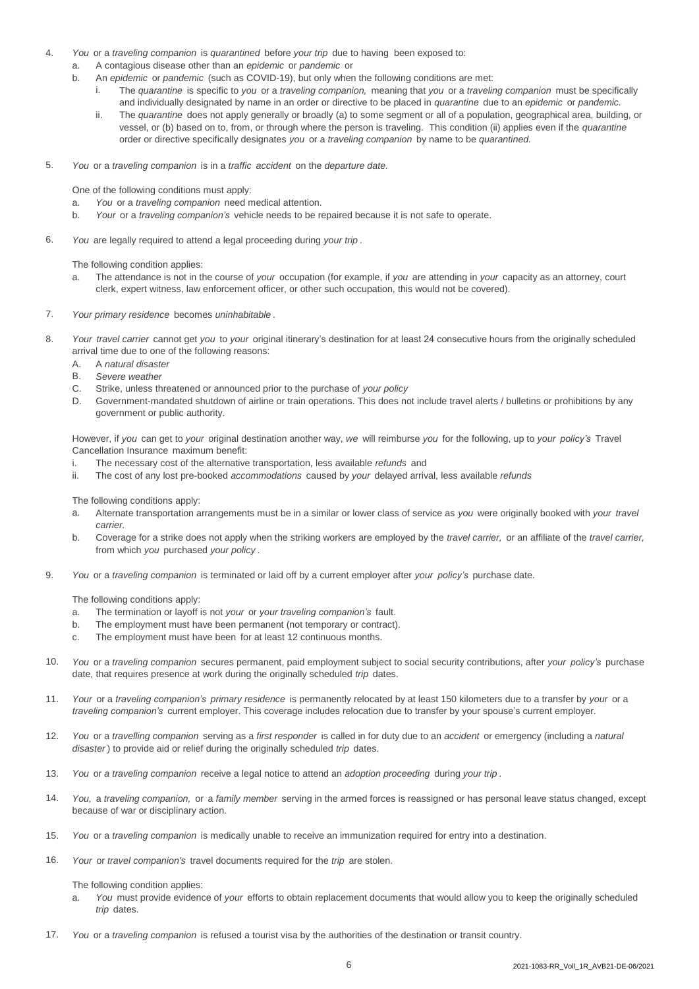- 4. *You* or a *traveling companion* is *quarantined* before *your trip* due to having been exposed to:
	- a. A contagious disease other than an *epidemic* or *pandemic* or
	- b. An *epidemic* or *pandemic* (such as COVID-19), but only when the following conditions are met:
		- i. The *quarantine* is specific to *you* or a *traveling companion,* meaning that *you* or a *traveling companion* must be specifically and individually designated by name in an order or directive to be placed in *quarantine* due to an *epidemic* or *pandemic.*
		- ii. The *quarantine* does not apply generally or broadly (a) to some segment or all of a population, geographical area, building, or vessel, or (b) based on to, from, or through where the person is traveling. This condition (ii) applies even if the *quarantine*  order or directive specifically designates *you* or a *traveling companion* by name to be *quarantined.*
- 5. *You* or a *traveling companion* is in a *traffic accident* on the *departure date.*

One of the following conditions must apply:

- a. *You* or a *traveling companion* need medical attention.
- b. *Your* or a *traveling companion's* vehicle needs to be repaired because it is not safe to operate.
- 6. *You* are legally required to attend a legal proceeding during *your trip* .

The following condition applies:

- a. The attendance is not in the course of *your* occupation (for example, if *you* are attending in *your* capacity as an attorney, court clerk, expert witness, law enforcement officer, or other such occupation, this would not be covered).
- 7. *Your primary residence* becomes *uninhabitable* .
- 8. *Your travel carrier* cannot get *you* to *your* original itinerary's destination for at least 24 consecutive hours from the originally scheduled arrival time due to one of the following reasons:
	- A. A *natural disaster*
	- B. *Severe weather*
	- C. Strike, unless threatened or announced prior to the purchase of *your policy*
	- D. Government-mandated shutdown of airline or train operations. This does not include travel alerts / bulletins or prohibitions by any government or public authority.

However, if *you* can get to *your* original destination another way, *we* will reimburse *you* for the following, up to *your policy's* Travel Cancellation Insurance maximum benefit:

- i. The necessary cost of the alternative transportation, less available *refunds* and
- ii. The cost of any lost pre-booked *accommodations* caused by *your* delayed arrival, less available *refunds*

The following conditions apply:

- a. Alternate transportation arrangements must be in a similar or lower class of service as *you* were originally booked with *your travel carrier.*
- b. Coverage for a strike does not apply when the striking workers are employed by the *travel carrier,* or an affiliate of the *travel carrier,*  from which *you* purchased *your policy* .
- 9. *You* or a *traveling companion* is terminated or laid off by a current employer after *your policy's* purchase date.

The following conditions apply:

- a. The termination or layoff is not *your* or *your traveling companion's* fault.
- b. The employment must have been permanent (not temporary or contract).
- c. The employment must have been for at least 12 continuous months.
- 10. *You* or a *traveling companion* secures permanent, paid employment subject to social security contributions, after *your policy's* purchase date, that requires presence at work during the originally scheduled *trip* dates.
- 11. *Your* or a *traveling companion's primary residence* is permanently relocated by at least 150 kilometers due to a transfer by *your* or a *traveling companion's* current employer. This coverage includes relocation due to transfer by your spouse's current employer.
- 12. *You* or a *travelling companion* serving as a *first responder* is called in for duty due to an *accident* or emergency (including a *natural disaster* ) to provide aid or relief during the originally scheduled *trip* dates.
- 13. *You* or *a traveling companion* receive a legal notice to attend an *adoption proceeding* during *your trip* .
- 14. *You,* a *traveling companion,* or a *family member* serving in the armed forces is reassigned or has personal leave status changed, except because of war or disciplinary action.
- 15. *You* or a *traveling companion* is medically unable to receive an immunization required for entry into a destination.
- 16. *Your* or *travel companion's* travel documents required for the *trip* are stolen.

The following condition applies:

- a. *You* must provide evidence of *your* efforts to obtain replacement documents that would allow you to keep the originally scheduled *trip* dates.
- 17. *You* or a *traveling companion* is refused a tourist visa by the authorities of the destination or transit country.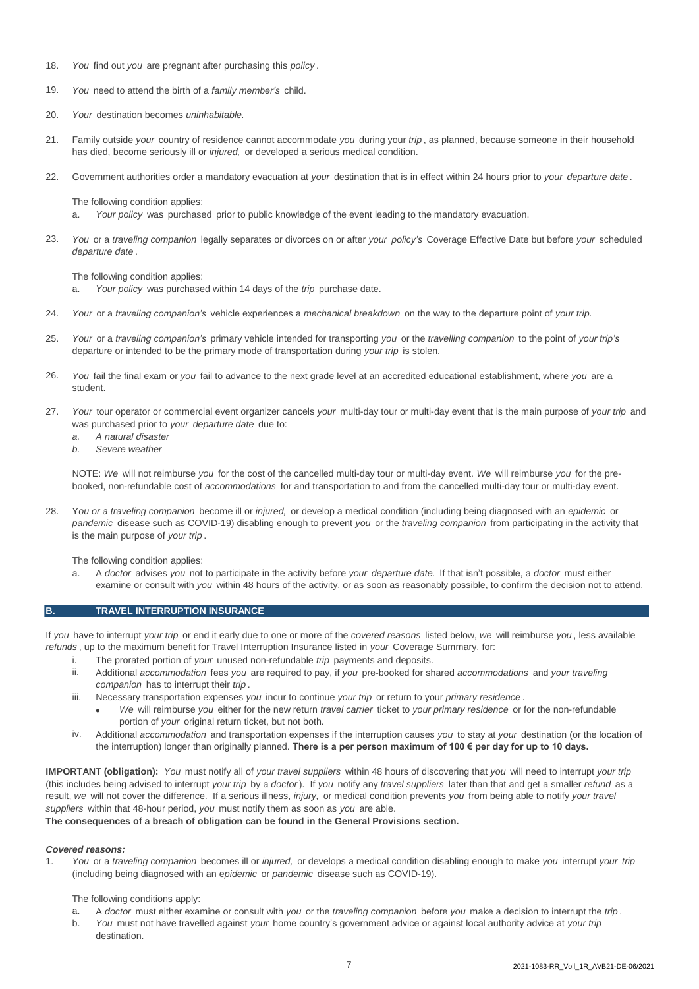- 18. *You* find out *you* are pregnant after purchasing this *policy* .
- 19. *You* need to attend the birth of a *family member's* child.
- 20. *Your* destination becomes *uninhabitable.*
- 21. Family outside *your* country of residence cannot accommodate *you* during your *trip* , as planned, because someone in their household has died, become seriously ill or *injured,* or developed a serious medical condition.
- 22. Government authorities order a mandatory evacuation at *your* destination that is in effect within 24 hours prior to *your departure date* .

The following condition applies:

- a. *Your policy* was purchased prior to public knowledge of the event leading to the mandatory evacuation.
- $23$ *You* or a *traveling companion* legally separates or divorces on or after *your policy's* Coverage Effective Date but before *your* scheduled *departure date* .

The following condition applies:

- a. *Your policy* was purchased within 14 days of the *trip* purchase date.
- 24. *Your* or a *traveling companion's* vehicle experiences a *mechanical breakdown* on the way to the departure point of *your trip.*
- 25. *Your* or a *traveling companion's* primary vehicle intended for transporting *you* or the *travelling companion* to the point of *your trip's*  departure or intended to be the primary mode of transportation during *your trip* is stolen.
- 26. *You* fail the final exam or *you* fail to advance to the next grade level at an accredited educational establishment, where *you* are a student.
- 27. *Your* tour operator or commercial event organizer cancels *your* multi-day tour or multi-day event that is the main purpose of *your trip* and was purchased prior to *your departure date* due to:
	- *a. A natural disaster*
	- *b. Severe weather*

NOTE: *We* will not reimburse *you* for the cost of the cancelled multi-day tour or multi-day event. *We* will reimburse *you* for the prebooked, non-refundable cost of *accommodations* for and transportation to and from the cancelled multi-day tour or multi-day event.

28. Y*ou or a traveling companion* become ill or *injured,* or develop a medical condition (including being diagnosed with an *epidemic* or *pandemic* disease such as COVID-19) disabling enough to prevent *you* or the *traveling companion* from participating in the activity that is the main purpose of *your trip* .

The following condition applies:

a. A *doctor* advises *you* not to participate in the activity before *your departure date.* If that isn't possible, a *doctor* must either examine or consult with *you* within 48 hours of the activity, or as soon as reasonably possible, to confirm the decision not to attend.

#### **B. TRAVEL INTERRUPTION INSURANCE**

If *you* have to interrupt *your trip* or end it early due to one or more of the *covered reasons* listed below, *we* will reimburse *you* , less available *refunds* , up to the maximum benefit for Travel Interruption Insurance listed in *your* Coverage Summary, for:

- i. The prorated portion of *your* unused non-refundable *trip* payments and deposits.
- ii. Additional *accommodation* fees *you* are required to pay, if *you* pre-booked for shared *accommodations* and *your traveling companion* has to interrupt their *trip* .
- iii. Necessary transportation expenses *you* incur to continue *your trip* or return to your *primary residence* .
	- *We* will reimburse *you* either for the new return *travel carrier* ticket to *your primary residence* or for the non-refundable portion of *your* original return ticket, but not both.
- iv. Additional *accommodation* and transportation expenses if the interruption causes *you* to stay at *your* destination (or the location of the interruption) longer than originally planned. **There is a per person maximum of 100 € per day for up to 10 days.**

**IMPORTANT (obligation):** *You* must notify all of *your travel suppliers* within 48 hours of discovering that *you* will need to interrupt *your trip*  (this includes being advised to interrupt *your trip* by a *doctor* ). If *you* notify any *travel suppliers* later than that and get a smaller *refund* as a result, *we* will not cover the difference. If a serious illness, *injury,* or medical condition prevents *you* from being able to notify *your travel suppliers* within that 48-hour period, *you* must notify them as soon as *you* are able.

**The consequences of a breach of obligation can be found in the General Provisions section.**

#### *Covered reasons:*

1. *You* or a *traveling companion* becomes ill or *injured,* or develops a medical condition disabling enough to make *you* interrupt *your trip*  (including being diagnosed with an e*pidemic* or *pandemic* disease such as COVID-19).

The following conditions apply:

- a. A *doctor* must either examine or consult with *you* or the *traveling companion* before *you* make a decision to interrupt the *trip* .
- b. *You* must not have travelled against *your* home country's government advice or against local authority advice at *your trip*  destination.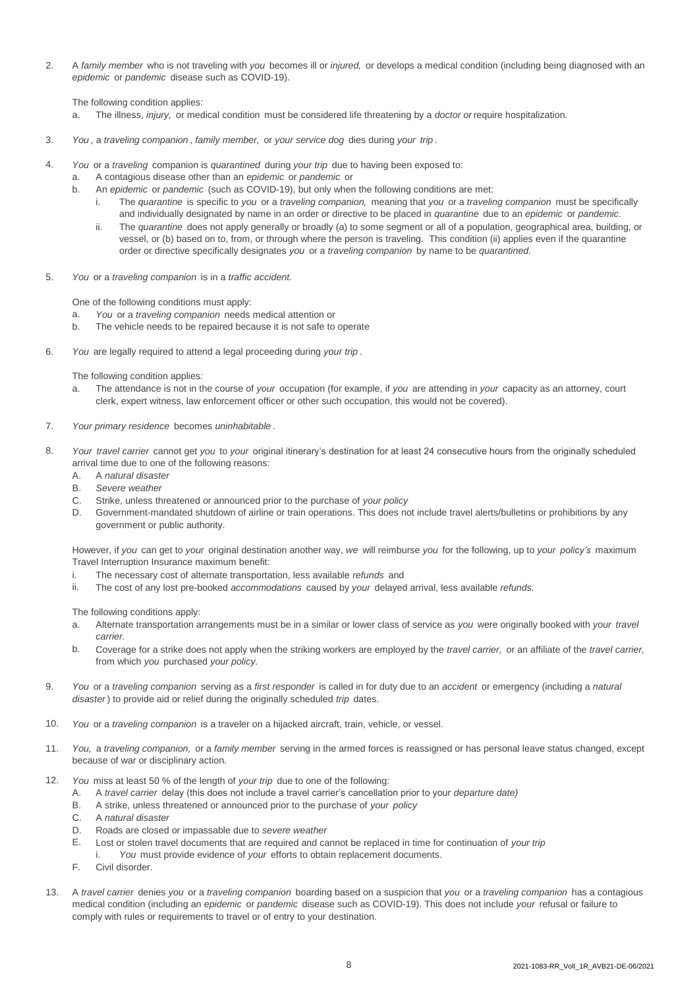2. A *family member* who is not traveling with *you* becomes ill or *injured,* or develops a medical condition (including being diagnosed with an *epidemic* or *pandemic* disease such as COVID-19).

The following condition applies:

- a. The illness, *injury,* or medical condition must be considered life threatening by a *doctor or* require hospitalization.
- 3. *You* , a *traveling companion* , *family member,* or *your service dog* dies during *your trip* .
- 4. *You* or a *traveling* companion is *quarantined* during *your trip* due to having been exposed to:
	- a. A contagious disease other than an *epidemic* or *pandemic* or
		- b. An *epidemic* or *pandemic* (such as COVID-19), but only when the following conditions are met:
			- i. The *quarantine* is specific to *you* or a *traveling companion,* meaning that *you* or a *traveling companion* must be specifically and individually designated by name in an order or directive to be placed in *quarantine* due to an *epidemic* or *pandemic.*
			- ii. The *quarantine* does not apply generally or broadly (a) to some segment or all of a population, geographical area, building, or vessel, or (b) based on to, from, or through where the person is traveling. This condition (ii) applies even if the quarantine order or directive specifically designates *you* or a *traveling companion* by name to be *quarantined.*
- 5. *You* or a *traveling companion* is in a *traffic accident.*

One of the following conditions must apply:

- a. *You* or a *traveling companion* needs medical attention or
- b. The vehicle needs to be repaired because it is not safe to operate
- 6. *You* are legally required to attend a legal proceeding during *your trip* .

The following condition applies:

- a. The attendance is not in the course of *your* occupation (for example, if *you* are attending in *your* capacity as an attorney, court clerk, expert witness, law enforcement officer or other such occupation, this would not be covered).
- 7. *Your primary residence* becomes *uninhabitable* .
- 8. *Your travel carrier* cannot get *you* to *your* original itinerary's destination for at least 24 consecutive hours from the originally scheduled arrival time due to one of the following reasons:
	- A. A *natural disaster*
	- B. *Severe weather*
	- C. Strike, unless threatened or announced prior to the purchase of *your policy*
	- D. Government-mandated shutdown of airline or train operations. This does not include travel alerts/bulletins or prohibitions by any government or public authority.

However, if *you* can get to *your* original destination another way, *we* will reimburse *you* for the following, up to *your policy's* maximum Travel Interruption Insurance maximum benefit:

- i. The necessary cost of alternate transportation, less available *refunds* and
- ii. The cost of any lost pre-booked *accommodations* caused by *your* delayed arrival, less available *refunds.*

The following conditions apply:

- a. Alternate transportation arrangements must be in a similar or lower class of service as *you* were originally booked with *your travel carrier.*
- b. Coverage for a strike does not apply when the striking workers are employed by the *travel carrier,* or an affiliate of the *travel carrier,*  from which *you* purchased *your policy.*
- 9. *You* or a *traveling companion* serving as a *first responder* is called in for duty due to an *accident* or emergency (including a *natural disaster* ) to provide aid or relief during the originally scheduled *trip* dates.
- 10. *You* or a *traveling companion* is a traveler on a hijacked aircraft, train, vehicle, or vessel.
- 11. *You,* a *traveling companion,* or a *family member* serving in the armed forces is reassigned or has personal leave status changed, except because of war or disciplinary action.
- 12. *You* miss at least 50 % of the length of *your trip* due to one of the following:
	- A. A *travel carrier* delay (this does not include a travel carrier's cancellation prior to your *departure date)*
	- B. A strike, unless threatened or announced prior to the purchase of *your policy*
	- C. A *natural disaster*
	- D. Roads are closed or impassable due to *severe weather*
	- E. Lost or stolen travel documents that are required and cannot be replaced in time for continuation of *your trip*
		- i. *You* must provide evidence of *your* efforts to obtain replacement documents.
	- F. Civil disorder.
- 13. A *travel carrier* denies *you* or a *traveling companion* boarding based on a suspicion that *you* or a *traveling companion* has a contagious medical condition (including an *epidemic* or *pandemic* disease such as COVID-19). This does not include *your* refusal or failure to comply with rules or requirements to travel or of entry to your destination.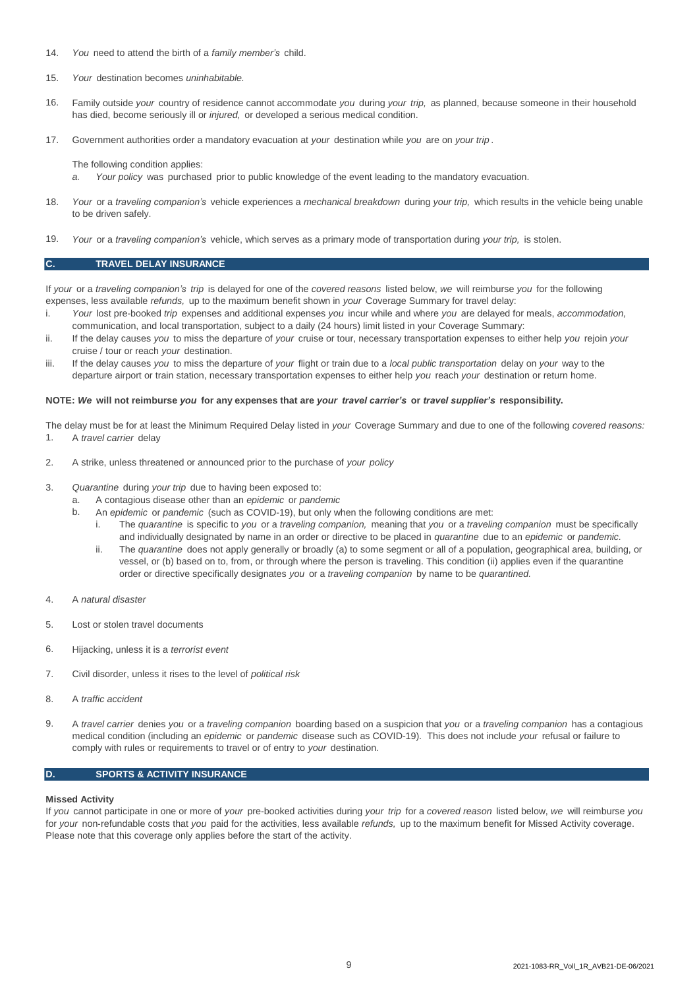- 14. *You* need to attend the birth of a *family member's* child.
- 15. *Your* destination becomes *uninhabitable.*
- 16. Family outside *your* country of residence cannot accommodate *you* during *your trip,* as planned, because someone in their household has died, become seriously ill or *injured,* or developed a serious medical condition.
- 17. Government authorities order a mandatory evacuation at *your* destination while *you* are on *your trip* .
	- The following condition applies:
	- *a. Your policy* was purchased prior to public knowledge of the event leading to the mandatory evacuation.
- 18. *Your* or a *traveling companion's* vehicle experiences a *mechanical breakdown* during *your trip,* which results in the vehicle being unable to be driven safely.
- 19. *Your* or a *traveling companion's* vehicle, which serves as a primary mode of transportation during *your trip,* is stolen.

#### **C. TRAVEL DELAY INSURANCE**

If *your* or a *traveling companion's trip* is delayed for one of the *covered reasons* listed below, *we* will reimburse *you* for the following expenses, less available *refunds,* up to the maximum benefit shown in *your* Coverage Summary for travel delay:

- i. *Your* lost pre-booked *trip* expenses and additional expenses *you* incur while and where *you* are delayed for meals, *accommodation,*  communication, and local transportation, subject to a daily (24 hours) limit listed in your Coverage Summary:
- ii. If the delay causes *you* to miss the departure of *your* cruise or tour, necessary transportation expenses to either help *you* rejoin *your*  cruise / tour or reach *your* destination.
- iii. If the delay causes *you* to miss the departure of *your* flight or train due to a *local public transportation* delay on *your* way to the departure airport or train station, necessary transportation expenses to either help *you* reach *your* destination or return home.

#### **NOTE:** *We* **will not reimburse** *you* **for any expenses that are** *your travel carrier's* **or** *travel supplier's* **responsibility.**

1. The delay must be for at least the Minimum Required Delay listed in *your* Coverage Summary and due to one of the following *covered reasons:* A *travel carrier* delay

- 2. A strike, unless threatened or announced prior to the purchase of *your policy*
- 3. *Quarantine* during *your trip* due to having been exposed to:
	- a. A contagious disease other than an *epidemic* or *pandemic*
		- An *epidemic* or *pandemic* (such as COVID-19), but only when the following conditions are met:
			- i. The *quarantine* is specific to *you* or a *traveling companion,* meaning that *you* or a *traveling companion* must be specifically and individually designated by name in an order or directive to be placed in *quarantine* due to an *epidemic* or *pandemic.*
			- ii. The *quarantine* does not apply generally or broadly (a) to some segment or all of a population, geographical area, building, or vessel, or (b) based on to, from, or through where the person is traveling. This condition (ii) applies even if the quarantine order or directive specifically designates *you* or a *traveling companion* by name to be *quarantined.*
- 4. A *natural disaster*

b.

- 5. Lost or stolen travel documents
- 6. Hijacking, unless it is a *terrorist event*
- 7. Civil disorder, unless it rises to the level of *political risk*
- 8. A *traffic accident*
- 9. A *travel carrier* denies *you* or a *traveling companion* boarding based on a suspicion that *you* or a *traveling companion* has a contagious medical condition (including an *epidemic* or *pandemic* disease such as COVID-19). This does not include *your* refusal or failure to comply with rules or requirements to travel or of entry to *your* destination.

#### **D. SPORTS & ACTIVITY INSURANCE**

#### **Missed Activity**

If *you* cannot participate in one or more of *your* pre-booked activities during *your trip* for a *covered reason* listed below, *we* will reimburse *you*  for *your* non‐refundable costs that *you* paid for the activities, less available *refunds,* up to the maximum benefit for Missed Activity coverage. Please note that this coverage only applies before the start of the activity.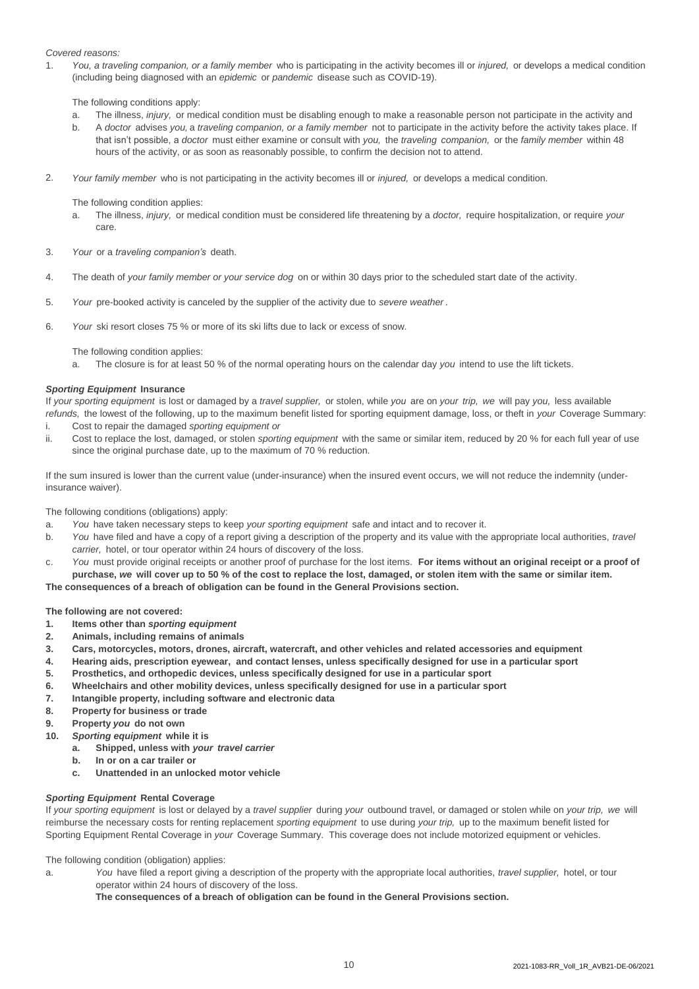# *Covered reasons:*

1. *You, a traveling companion, or a family member* who is participating in the activity becomes ill or *injured,* or develops a medical condition (including being diagnosed with an *epidemic* or *pandemic* disease such as COVID-19).

The following conditions apply:

- a. The illness, *injury,* or medical condition must be disabling enough to make a reasonable person not participate in the activity and
- b. A *doctor* advises *you,* a *traveling companion, or a family member* not to participate in the activity before the activity takes place. If that isn't possible, a *doctor* must either examine or consult with *you,* the *traveling companion,* or the *family member* within 48 hours of the activity, or as soon as reasonably possible, to confirm the decision not to attend.
- 2. *Your family member* who is not participating in the activity becomes ill or *injured,* or develops a medical condition.

The following condition applies:

- a. The illness, *injury,* or medical condition must be considered life threatening by a *doctor,* require hospitalization, or require *your*  care.
- 3. *Your* or a *traveling companion's* death.
- 4. The death of *your family member or your service dog* on or within 30 days prior to the scheduled start date of the activity.
- 5. *Your* pre-booked activity is canceled by the supplier of the activity due to *severe weather* .
- 6. *Your* ski resort closes 75 % or more of its ski lifts due to lack or excess of snow.
	- The following condition applies:

a. The closure is for at least 50 % of the normal operating hours on the calendar day *you* intend to use the lift tickets.

# *Sporting Equipment* **Insurance**

If *your sporting equipment* is lost or damaged by a *travel supplier,* or stolen, while *you* are on *your trip, we* will pay *you,* less available *refunds,* the lowest of the following, up to the maximum benefit listed for sporting equipment damage, loss, or theft in *your* Coverage Summary:

- i. Cost to repair the damaged *sporting equipment or*
- ii. Cost to replace the lost, damaged, or stolen *sporting equipment* with the same or similar item, reduced by 20 % for each full year of use since the original purchase date, up to the maximum of 70 % reduction.

If the sum insured is lower than the current value (under-insurance) when the insured event occurs, we will not reduce the indemnity (underinsurance waiver).

The following conditions (obligations) apply:

- a. *You* have taken necessary steps to keep *your sporting equipment* safe and intact and to recover it.
- b. *You* have filed and have a copy of a report giving a description of the property and its value with the appropriate local authorities, *travel carrier,* hotel, or tour operator within 24 hours of discovery of the loss.
- c. *You* must provide original receipts or another proof of purchase for the lost items. **For items without an original receipt or a proof of purchase,** *we* **will cover up to 50 % of the cost to replace the lost, damaged, or stolen item with the same or similar item.**

**The consequences of a breach of obligation can be found in the General Provisions section.**

**The following are not covered:**

- **1. Items other than** *sporting equipment*
- **2. Animals, including remains of animals**
- **3. Cars, motorcycles, motors, drones, aircraft, watercraft, and other vehicles and related accessories and equipment**
- **4. Hearing aids, prescription eyewear, and contact lenses, unless specifically designed for use in a particular sport**
- **5. Prosthetics, and orthopedic devices, unless specifically designed for use in a particular sport**
- **6. Wheelchairs and other mobility devices, unless specifically designed for use in a particular sport**
- **7. Intangible property, including software and electronic data**
- **8. Property for business or trade**
- **9. Property** *you* **do not own**
- **10.** *Sporting equipment* **while it is**
	- **a. Shipped, unless with** *your travel carrier*
	- **b. In or on a car trailer or**
	- **c. Unattended in an unlocked motor vehicle**

# *Sporting Equipment* **Rental Coverage**

If *your sporting equipment* is lost or delayed by a *travel supplier* during *your* outbound travel, or damaged or stolen while on *your trip, we* will reimburse the necessary costs for renting replacement *sporting equipment* to use during *your trip,* up to the maximum benefit listed for Sporting Equipment Rental Coverage in *your* Coverage Summary. This coverage does not include motorized equipment or vehicles.

The following condition (obligation) applies:

a. *You* have filed a report giving a description of the property with the appropriate local authorities, *travel supplier,* hotel, or tour operator within 24 hours of discovery of the loss.

**The consequences of a breach of obligation can be found in the General Provisions section.**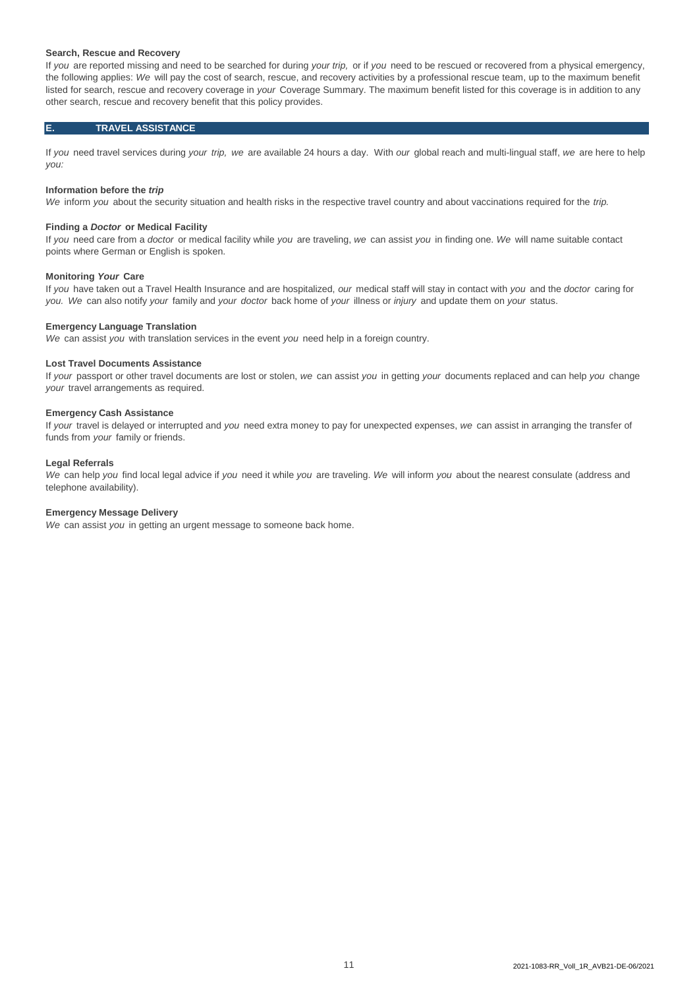#### **Search, Rescue and Recovery**

If *you* are reported missing and need to be searched for during *your trip,* or if *you* need to be rescued or recovered from a physical emergency, the following applies: *We* will pay the cost of search, rescue, and recovery activities by a professional rescue team, up to the maximum benefit listed for search, rescue and recovery coverage in *your* Coverage Summary. The maximum benefit listed for this coverage is in addition to any other search, rescue and recovery benefit that this policy provides.

#### **E. TRAVEL ASSISTANCE**

If *you* need travel services during *your trip, we* are available 24 hours a day. With *our* global reach and multi-lingual staff, *we* are here to help *you:*

#### **Information before the** *trip*

*We* inform *you* about the security situation and health risks in the respective travel country and about vaccinations required for the *trip.* 

#### **Finding a** *Doctor* **or Medical Facility**

If *you* need care from a *doctor* or medical facility while *you* are traveling, *we* can assist *you* in finding one. *We* will name suitable contact points where German or English is spoken.

## **Monitoring** *Your* **Care**

If *you* have taken out a Travel Health Insurance and are hospitalized, *our* medical staff will stay in contact with *you* and the *doctor* caring for *you. We* can also notify *your* family and *your doctor* back home of *your* illness or *injury* and update them on *your* status.

#### **Emergency Language Translation**

*We* can assist *you* with translation services in the event *you* need help in a foreign country.

#### **Lost Travel Documents Assistance**

If *your* passport or other travel documents are lost or stolen, *we* can assist *you* in getting *your* documents replaced and can help *you* change *your* travel arrangements as required.

# **Emergency Cash Assistance**

If *your* travel is delayed or interrupted and *you* need extra money to pay for unexpected expenses, *we* can assist in arranging the transfer of funds from *your* family or friends.

#### **Legal Referrals**

*We* can help *you* find local legal advice if *you* need it while *you* are traveling. *We* will inform *you* about the nearest consulate (address and telephone availability).

# **Emergency Message Delivery**

*We* can assist *you* in getting an urgent message to someone back home.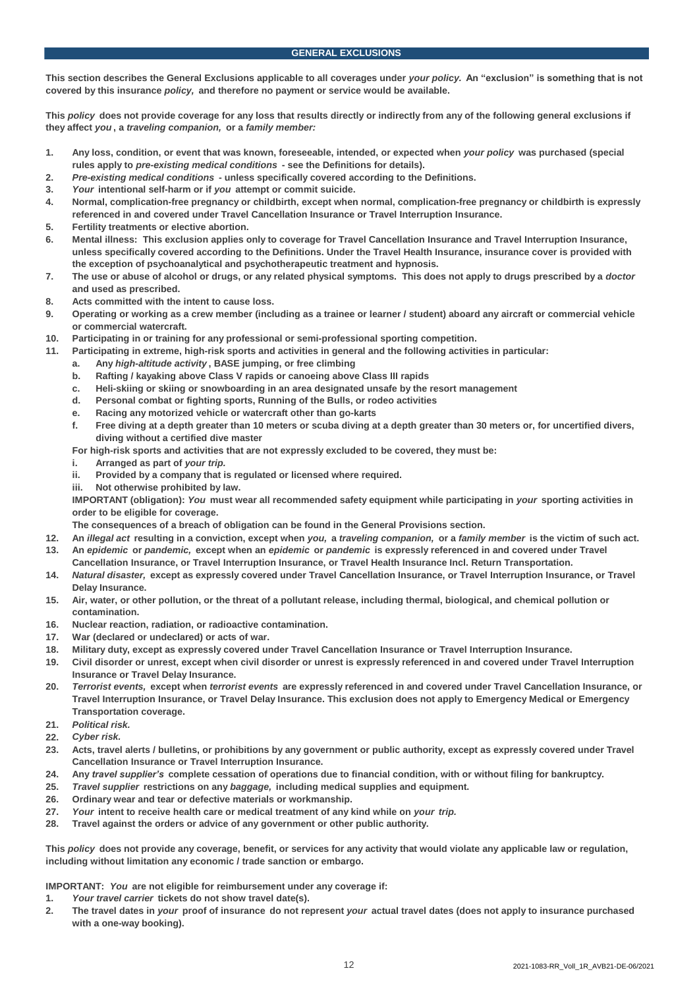**This section describes the General Exclusions applicable to all coverages under** *your policy.* **An "exclusion" is something that is not covered by this insurance** *policy,* **and therefore no payment or service would be available.** 

**This** *policy* **does not provide coverage for any loss that results directly or indirectly from any of the following general exclusions if they affect** *you* **, a** *traveling companion,* **or a** *family member:*

- **1. Any loss, condition, or event that was known, foreseeable, intended, or expected when** *your policy* **was purchased (special rules apply to** *pre-existing medical conditions* **- see the Definitions for details).**
- **2.** *Pre-existing medical conditions* **- unless specifically covered according to the Definitions.**
- **3.** *Your* **intentional self-harm or if** *you* **attempt or commit suicide.**
- **4. Normal, complication-free pregnancy or childbirth, except when normal, complication-free pregnancy or childbirth is expressly referenced in and covered under Travel Cancellation Insurance or Travel Interruption Insurance.**
- **5. Fertility treatments or elective abortion.**
- **6. Mental illness: This exclusion applies only to coverage for Travel Cancellation Insurance and Travel Interruption Insurance, unless specifically covered according to the Definitions. Under the Travel Health Insurance, insurance cover is provided with the exception of psychoanalytical and psychotherapeutic treatment and hypnosis.**
- **7. The use or abuse of alcohol or drugs, or any related physical symptoms. This does not apply to drugs prescribed by a** *doctor*  **and used as prescribed.**
- **8. Acts committed with the intent to cause loss.**
- **9. Operating or working as a crew member (including as a trainee or learner / student) aboard any aircraft or commercial vehicle or commercial watercraft.**
- **10. Participating in or training for any professional or semi-professional sporting competition.**
- **11. Participating in extreme, high-risk sports and activities in general and the following activities in particular:**
	- **a. Any** *high-altitude activity* **, BASE jumping, or free climbing**
	- **b. Rafting / kayaking above Class V rapids or canoeing above Class III rapids**
	- **c. Heli-skiing or skiing or snowboarding in an area designated unsafe by the resort management**
	- **d. Personal combat or fighting sports, Running of the Bulls, or rodeo activities**
	- **e. Racing any motorized vehicle or watercraft other than go-karts**
	- **f. Free diving at a depth greater than 10 meters or scuba diving at a depth greater than 30 meters or, for uncertified divers, diving without a certified dive master**
	- **For high-risk sports and activities that are not expressly excluded to be covered, they must be:**
	- **i. Arranged as part of** *your trip.*
	- **ii. Provided by a company that is regulated or licensed where required.**
	- **iii. Not otherwise prohibited by law.**

**IMPORTANT (obligation):** *You* **must wear all recommended safety equipment while participating in** *your* **sporting activities in order to be eligible for coverage.** 

**The consequences of a breach of obligation can be found in the General Provisions section.**

- **12. An** *illegal act* **resulting in a conviction, except when** *you,* **a** *traveling companion,* **or a** *family member* **is the victim of such act.**
- **13. An** *epidemic* **or** *pandemic,* **except when an** *epidemic* **or** *pandemic* **is expressly referenced in and covered under Travel Cancellation Insurance, or Travel Interruption Insurance, or Travel Health Insurance Incl. Return Transportation.**
- **14.** *Natural disaster,* **except as expressly covered under Travel Cancellation Insurance, or Travel Interruption Insurance, or Travel Delay Insurance.**
- **15. Air, water, or other pollution, or the threat of a pollutant release, including thermal, biological, and chemical pollution or contamination.**
- **16. Nuclear reaction, radiation, or radioactive contamination.**
- **17. War (declared or undeclared) or acts of war.**
- **18. Military duty, except as expressly covered under Travel Cancellation Insurance or Travel Interruption Insurance.**
- **19. Civil disorder or unrest, except when civil disorder or unrest is expressly referenced in and covered under Travel Interruption Insurance or Travel Delay Insurance.**
- **20.** *Terrorist events,* **except when** *terrorist events* **are expressly referenced in and covered under Travel Cancellation Insurance, or Travel Interruption Insurance, or Travel Delay Insurance. This exclusion does not apply to Emergency Medical or Emergency Transportation coverage.**
- **21.** *Political risk.*
- **22.** *Cyber risk.*
- **23. Acts, travel alerts / bulletins, or prohibitions by any government or public authority, except as expressly covered under Travel Cancellation Insurance or Travel Interruption Insurance.**
- **24. Any** *travel supplier's* **complete cessation of operations due to financial condition, with or without filing for bankruptcy.**
- **25.** *Travel supplier* **restrictions on any** *baggage,* **including medical supplies and equipment.**
- **26. Ordinary wear and tear or defective materials or workmanship.**
- **27.** *Your* **intent to receive health care or medical treatment of any kind while on** *your trip.*
- **28. Travel against the orders or advice of any government or other public authority.**

**This** *policy* **does not provide any coverage, benefit, or services for any activity that would violate any applicable law or regulation, including without limitation any economic / trade sanction or embargo.** 

**IMPORTANT:** *You* **are not eligible for reimbursement under any coverage if:**

- **1.** *Your travel carrier* **tickets do not show travel date(s).**
- **2. The travel dates in** *your* **proof of insurance do not represent** *your* **actual travel dates (does not apply to insurance purchased with a one-way booking).**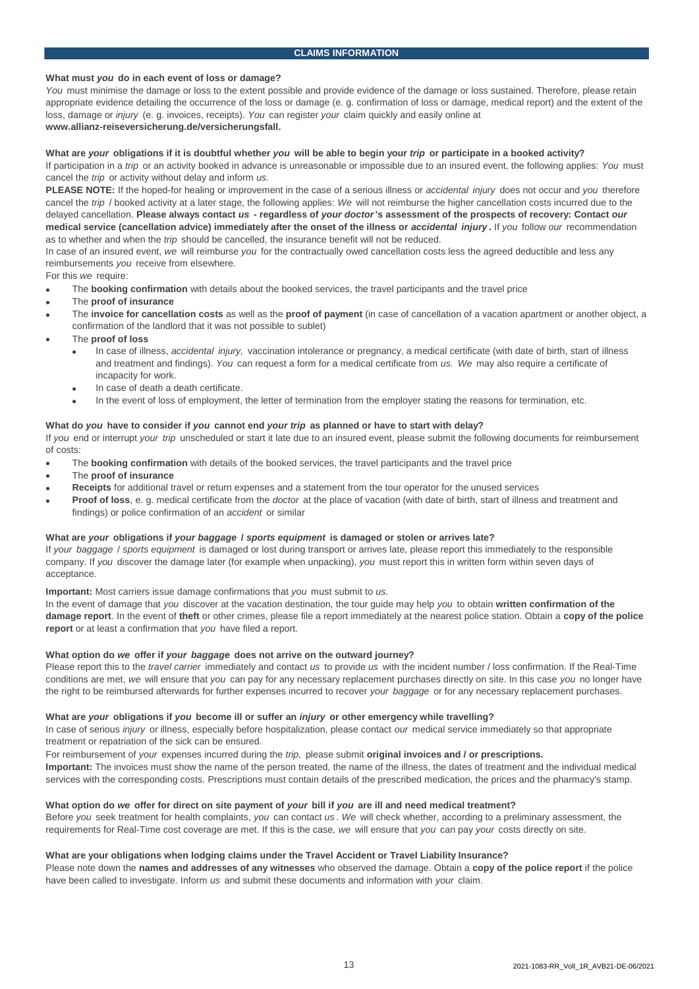# **What must** *you* **do in each event of loss or damage?**

*You* must minimise the damage or loss to the extent possible and provide evidence of the damage or loss sustained. Therefore, please retain appropriate evidence detailing the occurrence of the loss or damage (e. g. confirmation of loss or damage, medical report) and the extent of the loss, damage or *injury* (e. g. invoices, receipts). *You* can register *your* claim quickly and easily online at **www.allianz-reiseversicherung.de/versicherungsfall.**

# **What are** *your* **obligations if it is doubtful whether** *you* **will be able to begin your** *trip* **or participate in a booked activity?**

If participation in a *trip* or an activity booked in advance is unreasonable or impossible due to an insured event, the following applies: *You* must cancel the *trip* or activity without delay and inform *us.* 

**PLEASE NOTE:** If the hoped-for healing or improvement in the case of a serious illness or *accidental injury* does not occur and *you* therefore cancel the *trip* / booked activity at a later stage, the following applies: *We* will not reimburse the higher cancellation costs incurred due to the delayed cancellation. **Please always contact** *us* **- regardless of** *your doctor***'s assessment of the prospects of recovery: Contact** *our*  **medical service (cancellation advice) immediately after the onset of the illness or** *accidental injury* **.** If *you* follow *our* recommendation as to whether and when the *trip* should be cancelled, the insurance benefit will not be reduced.

In case of an insured event, *we* will reimburse *you* for the contractually owed cancellation costs less the agreed deductible and less any reimbursements *you* receive from elsewhere.

For this *we* require:

- The **booking confirmation** with details about the booked services, the travel participants and the travel price
- The **proof of insurance**
- The **invoice for cancellation costs** as well as the **proof of payment** (in case of cancellation of a vacation apartment or another object, a confirmation of the landlord that it was not possible to sublet)
- The **proof of loss**
	- In case of illness, *accidental injury,* vaccination intolerance or pregnancy, a medical certificate (with date of birth, start of illness and treatment and findings). *You* can request a form for a medical certificate from *us. We* may also require a certificate of incapacity for work.
	- In case of death a death certificate.
	- In the event of loss of employment, the letter of termination from the employer stating the reasons for termination, etc.

# **What do** *you* **have to consider if** *you* **cannot end** *your trip* **as planned or have to start with delay?**

If *you* end or interrupt *your trip* unscheduled or start it late due to an insured event, please submit the following documents for reimbursement of costs:

- The **booking confirmation** with details of the booked services, the travel participants and the travel price
- The **proof of insurance**
- **Receipts** for additional travel or return expenses and a statement from the tour operator for the unused services
- **Proof of loss**, e. g. medical certificate from the *doctor* at the place of vacation (with date of birth, start of illness and treatment and findings) or police confirmation of an *accident* or similar

### **What are** *your* **obligations if** *your baggage* **/** *sports equipment* **is damaged or stolen or arrives late?**

If *your baggage* / *sports equipment* is damaged or lost during transport or arrives late, please report this immediately to the responsible company. If *you* discover the damage later (for example when unpacking), *you* must report this in written form within seven days of acceptance.

**Important:** Most carriers issue damage confirmations that *you* must submit to *us.*

In the event of damage that *you* discover at the vacation destination, the tour guide may help *you* to obtain **written confirmation of the damage report**. In the event of **theft** or other crimes, please file a report immediately at the nearest police station. Obtain a **copy of the police report** or at least a confirmation that *you* have filed a report.

#### **What option do** *we* **offer if** *your baggage* **does not arrive on the outward journey?**

Please report this to the *travel carrier* immediately and contact *us* to provide *us* with the incident number / loss confirmation. If the Real-Time conditions are met, *we* will ensure that *you* can pay for any necessary replacement purchases directly on site. In this case *you* no longer have the right to be reimbursed afterwards for further expenses incurred to recover *your baggage* or for any necessary replacement purchases.

#### **What are** *your* **obligations if** *you* **become ill or suffer an** *injury* **or other emergency while travelling?**

In case of serious *injury* or illness, especially before hospitalization, please contact *our* medical service immediately so that appropriate treatment or repatriation of the sick can be ensured.

For reimbursement of *your* expenses incurred during the *trip,* please submit **original invoices and / or prescriptions.**

**Important:** The invoices must show the name of the person treated, the name of the illness, the dates of treatment and the individual medical services with the corresponding costs. Prescriptions must contain details of the prescribed medication, the prices and the pharmacy's stamp.

# **What option do** *we* **offer for direct on site payment of** *your* **bill if** *you* **are ill and need medical treatment?**

Before *you* seek treatment for health complaints, *you* can contact *us* . *We* will check whether, according to a preliminary assessment, the requirements for Real-Time cost coverage are met. If this is the case, *we* will ensure that *you* can pay *your* costs directly on site.

# **What are your obligations when lodging claims under the Travel Accident or Travel Liability Insurance?**

Please note down the **names and addresses of any witnesses** who observed the damage. Obtain a **copy of the police report** if the police have been called to investigate. Inform *us* and submit these documents and information with *your* claim.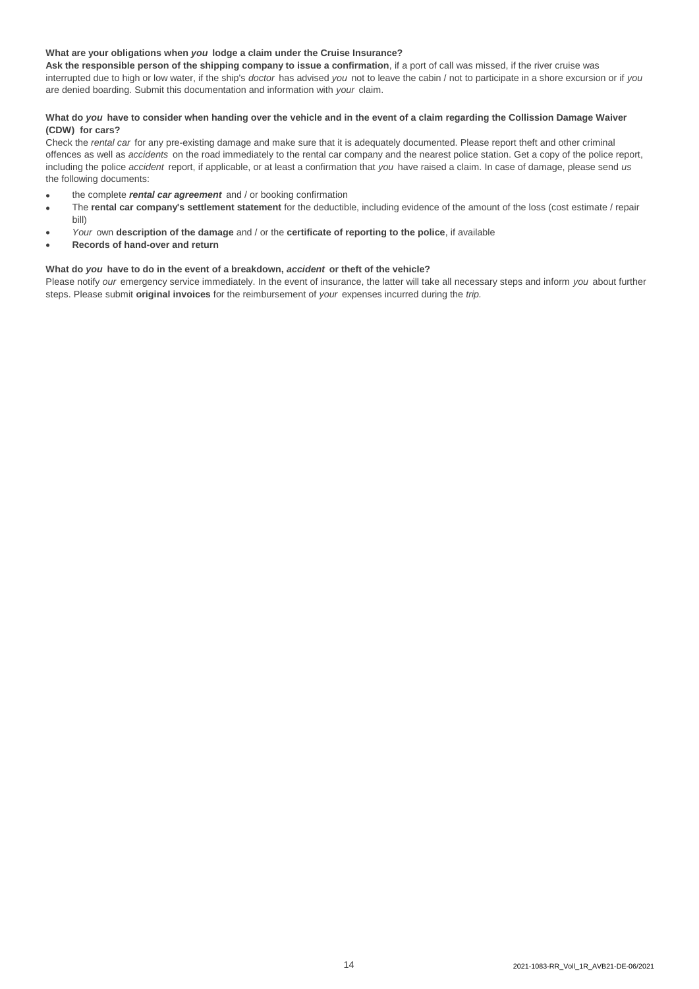# **What are your obligations when** *you* **lodge a claim under the Cruise Insurance?**

**Ask the responsible person of the shipping company to issue a confirmation**, if a port of call was missed, if the river cruise was interrupted due to high or low water, if the ship's *doctor* has advised *you* not to leave the cabin / not to participate in a shore excursion or if *you*  are denied boarding. Submit this documentation and information with *your* claim.

# **What do** *you* **have to consider when handing over the vehicle and in the event of a claim regarding the Collission Damage Waiver (CDW) for cars?**

Check the *rental car* for any pre-existing damage and make sure that it is adequately documented. Please report theft and other criminal offences as well as *accidents* on the road immediately to the rental car company and the nearest police station. Get a copy of the police report, including the police *accident* report, if applicable, or at least a confirmation that *you* have raised a claim. In case of damage, please send *us*  the following documents:

- the complete *rental car agreement* and / or booking confirmation
- The **rental car company's settlement statement** for the deductible, including evidence of the amount of the loss (cost estimate / repair bill)
- *Your* own **description of the damage** and / or the **certificate of reporting to the police**, if available
- **Records of hand-over and return**

# **What do** *you* **have to do in the event of a breakdown,** *accident* **or theft of the vehicle?**

Please notify *our* emergency service immediately. In the event of insurance, the latter will take all necessary steps and inform *you* about further steps. Please submit **original invoices** for the reimbursement of *your* expenses incurred during the *trip.*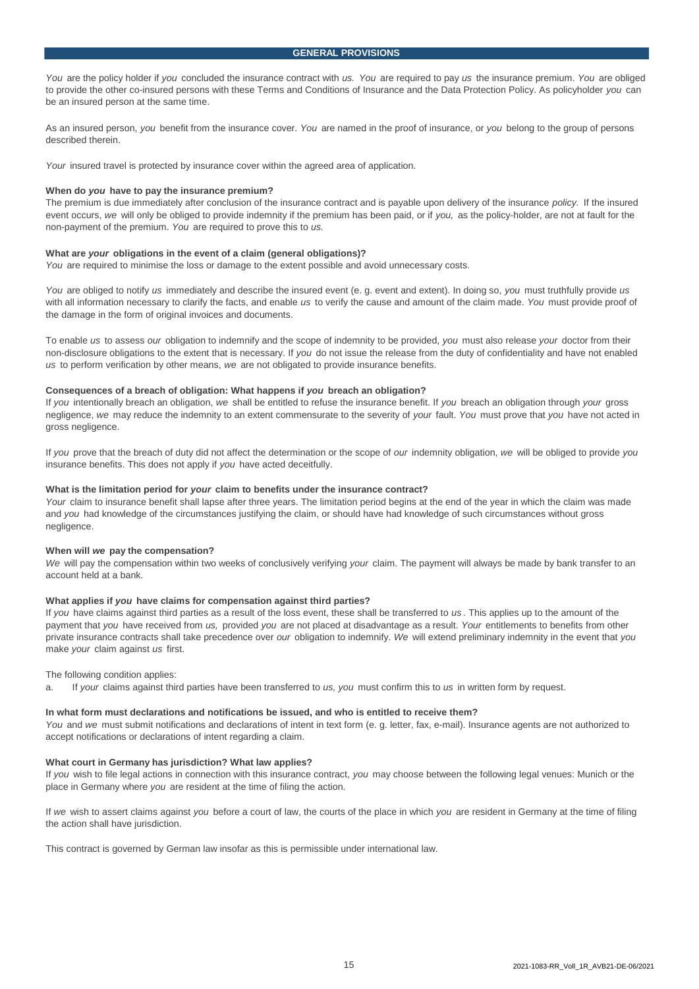*You* are the policy holder if *you* concluded the insurance contract with *us. You* are required to pay *us* the insurance premium. *You* are obliged to provide the other co-insured persons with these Terms and Conditions of Insurance and the Data Protection Policy. As policyholder *you* can be an insured person at the same time.

As an insured person, *you* benefit from the insurance cover. *You* are named in the proof of insurance, or *you* belong to the group of persons described therein.

*Your* insured travel is protected by insurance cover within the agreed area of application.

#### **When do** *you* **have to pay the insurance premium?**

The premium is due immediately after conclusion of the insurance contract and is payable upon delivery of the insurance *policy.* If the insured event occurs, *we* will only be obliged to provide indemnity if the premium has been paid, or if *you,* as the policy-holder, are not at fault for the non-payment of the premium. *You* are required to prove this to *us.* 

#### **What are** *your* **obligations in the event of a claim (general obligations)?**

*You* are required to minimise the loss or damage to the extent possible and avoid unnecessary costs.

*You* are obliged to notify *us* immediately and describe the insured event (e. g. event and extent). In doing so, *you* must truthfully provide *us*  with all information necessary to clarify the facts, and enable *us* to verify the cause and amount of the claim made. *You* must provide proof of the damage in the form of original invoices and documents.

To enable *us* to assess *our* obligation to indemnify and the scope of indemnity to be provided, *you* must also release *your* doctor from their non-disclosure obligations to the extent that is necessary. If *you* do not issue the release from the duty of confidentiality and have not enabled *us* to perform verification by other means, *we* are not obligated to provide insurance benefits.

#### **Consequences of a breach of obligation: What happens if** *you* **breach an obligation?**

If *you* intentionally breach an obligation, *we* shall be entitled to refuse the insurance benefit. If *you* breach an obligation through *your* gross negligence, *we* may reduce the indemnity to an extent commensurate to the severity of *your* fault. *You* must prove that *you* have not acted in gross negligence.

If *you* prove that the breach of duty did not affect the determination or the scope of *our* indemnity obligation, *we* will be obliged to provide *you*  insurance benefits. This does not apply if *you* have acted deceitfully.

#### **What is the limitation period for** *your* **claim to benefits under the insurance contract?**

*Your* claim to insurance benefit shall lapse after three years. The limitation period begins at the end of the year in which the claim was made and *you* had knowledge of the circumstances justifying the claim, or should have had knowledge of such circumstances without gross negligence.

#### **When will** *we* **pay the compensation?**

*We* will pay the compensation within two weeks of conclusively verifying *your* claim. The payment will always be made by bank transfer to an account held at a bank.

#### **What applies if** *you* **have claims for compensation against third parties?**

If *you* have claims against third parties as a result of the loss event, these shall be transferred to *us* . This applies up to the amount of the payment that *you* have received from *us,* provided *you* are not placed at disadvantage as a result. *Your* entitlements to benefits from other private insurance contracts shall take precedence over *our* obligation to indemnify. *We* will extend preliminary indemnity in the event that *you*  make *your* claim against *us* first.

The following condition applies:

a. If *your* claims against third parties have been transferred to *us, you* must confirm this to *us* in written form by request.

## **In what form must declarations and notifications be issued, and who is entitled to receive them?**

*You* and *we* must submit notifications and declarations of intent in text form (e. g. letter, fax, e-mail). Insurance agents are not authorized to accept notifications or declarations of intent regarding a claim.

#### **What court in Germany has jurisdiction? What law applies?**

If *you* wish to file legal actions in connection with this insurance contract, *you* may choose between the following legal venues: Munich or the place in Germany where *you* are resident at the time of filing the action.

If *we* wish to assert claims against *you* before a court of law, the courts of the place in which *you* are resident in Germany at the time of filing the action shall have jurisdiction.

This contract is governed by German law insofar as this is permissible under international law.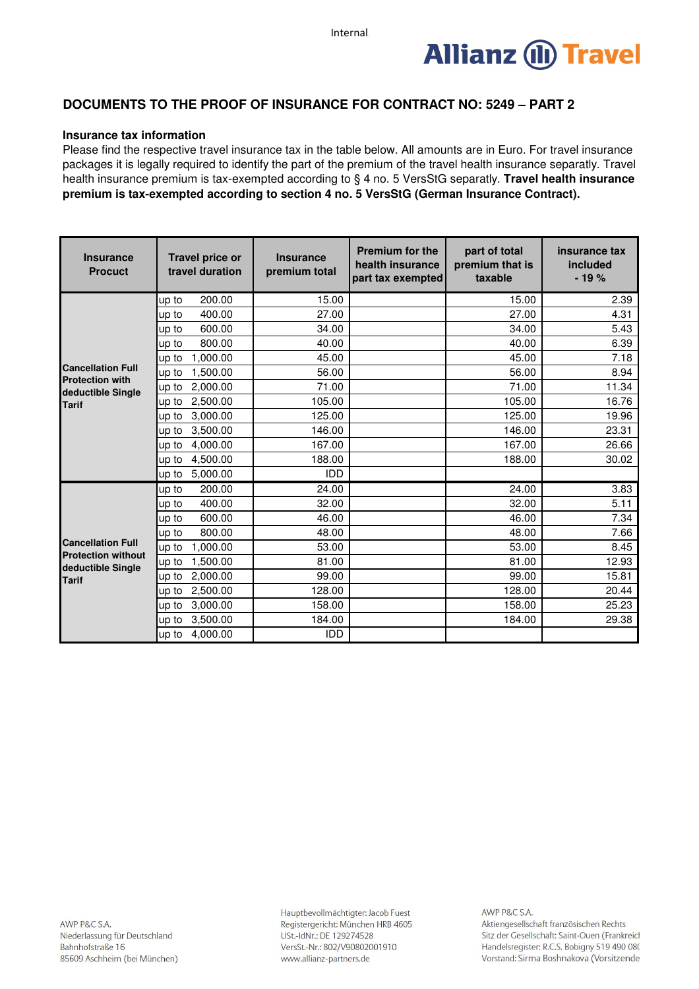

# **DOCUMENTS TO THE PROOF OF INSURANCE FOR CONTRACT NO: 5249 – PART 2**

# **Insurance tax information**

Please find the respective travel insurance tax in the table below. All amounts are in Euro. For travel insurance packages it is legally required to identify the part of the premium of the travel health insurance separatly. Travel health insurance premium is tax-exempted according to § 4 no. 5 VersStG separatly. **Travel health insurance premium is tax-exempted according to section 4 no. 5 VersStG (German Insurance Contract).**

| <b>Insurance</b><br><b>Procuct</b>                             | <b>Travel price or</b><br>travel duration | <b>Insurance</b><br>premium total | <b>Premium for the</b><br>health insurance<br>part tax exempted | part of total<br>premium that is<br>taxable | insurance tax<br>included<br>$-19%$ |
|----------------------------------------------------------------|-------------------------------------------|-----------------------------------|-----------------------------------------------------------------|---------------------------------------------|-------------------------------------|
|                                                                | 200.00<br>up to                           | 15.00                             |                                                                 | 15.00                                       | 2.39                                |
|                                                                | 400.00<br>up to                           | 27.00                             |                                                                 | 27.00                                       | 4.31                                |
|                                                                | 600.00<br>up to                           | 34.00                             |                                                                 | 34.00                                       | 5.43                                |
|                                                                | 800.00<br>up to                           | 40.00                             |                                                                 | 40.00                                       | 6.39                                |
|                                                                | 1,000.00<br>up to                         | 45.00                             |                                                                 | 45.00                                       | 7.18                                |
| <b>Cancellation Full</b><br><b>Protection with</b>             | 1,500.00<br>up to                         | 56.00                             |                                                                 | 56.00                                       | 8.94                                |
| deductible Single                                              | 2,000.00<br>up to                         | 71.00                             |                                                                 | 71.00                                       | 11.34                               |
| <b>Tarif</b>                                                   | 2,500.00<br>up to                         | 105.00                            |                                                                 | 105.00                                      | 16.76                               |
|                                                                | 3,000.00<br>up to                         | 125.00                            |                                                                 | 125.00                                      | 19.96                               |
|                                                                | 3,500.00<br>up to                         | 146.00                            |                                                                 | 146.00                                      | 23.31                               |
|                                                                | 4,000.00<br>up to                         | 167.00                            |                                                                 | 167.00                                      | 26.66                               |
|                                                                | 4,500.00<br>up to                         | 188.00                            |                                                                 | 188.00                                      | 30.02                               |
|                                                                | 5,000.00<br>up to                         | IDD                               |                                                                 |                                             |                                     |
|                                                                | 200.00<br>up to                           | 24.00                             |                                                                 | 24.00                                       | 3.83                                |
|                                                                | 400.00<br>up to                           | 32.00                             |                                                                 | 32.00                                       | 5.11                                |
|                                                                | 600.00<br>up to                           | 46.00                             |                                                                 | 46.00                                       | 7.34                                |
|                                                                | 800.00<br>up to                           | 48.00                             |                                                                 | 48.00                                       | 7.66                                |
| <b>Cancellation Full</b>                                       | 1,000.00<br>up to                         | 53.00                             |                                                                 | 53.00                                       | 8.45                                |
| <b>Protection without</b><br>deductible Single<br><b>Tarif</b> | 1,500.00<br>up to                         | 81.00                             |                                                                 | 81.00                                       | 12.93                               |
|                                                                | 2,000.00<br>up to                         | 99.00                             |                                                                 | 99.00                                       | 15.81                               |
|                                                                | 2,500.00<br>up to                         | 128.00                            |                                                                 | 128.00                                      | 20.44                               |
|                                                                | 3,000.00<br>up to                         | 158.00                            |                                                                 | 158.00                                      | 25.23                               |
|                                                                | 3,500.00<br>up to                         | 184.00                            |                                                                 | 184.00                                      | 29.38                               |
|                                                                | 4,000.00<br>up to                         | <b>IDD</b>                        |                                                                 |                                             |                                     |

Hauptbevollmächtigter: Jacob Fuest Registergericht: München HRB 4605 USt.-IdNr.: DE 129274528 VersSt.-Nr.: 802/V90802001910 www.allianz-partners.de

AWP P&C S.A. Aktiengesellschaft französischen Rechts Sitz der Gesellschaft: Saint-Ouen (Frankreich Handelsregister: R.C.S. Bobigny 519 490 080 Vorstand: Sirma Boshnakova (Vorsitzende